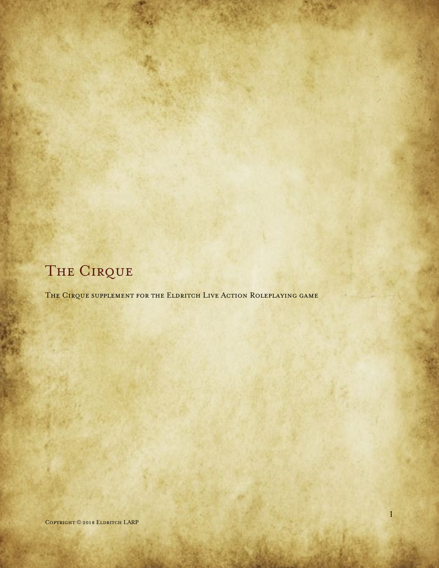## THE CIRQUE

THE CIRQUE SUPPLEMENT FOR THE ELDRITCH LIVE ACTION ROLEPLAYING GAME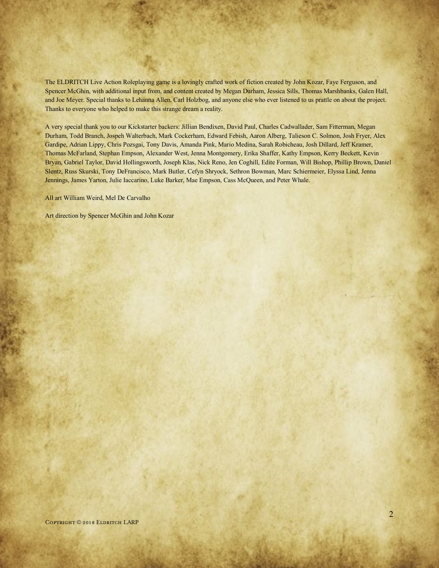The ELDRITCH Live Action Roleplaying game is a lovingly crafted work of fiction created by John Kozar, Faye Ferguson, and Spencer McGhin, with additional input from, and content created by Megan Durham, Jessica Sills, Thomas Marshbanks, Galen Hall, and Joe Meyer. Special thanks to Lehanna Allen, Carl Holzbog, and anyone else who ever listened to us prattle on about the project. Thanks to everyone who helped to make this strange dream a reality.

A very special thank you to our Kickstarter backers: Jillian Bendixen, David Paul, Charles Cadwallader, Sam Fitterman, Megan Durham, Todd Branch, Jospeh Walterbach, Mark Cockerham, Edward Febish, Aaron Alberg, Talieson C. Solmon, Josh Fryer, Alex Gardipe, Adrian Lippy, Chris Pozsgai, Tony Davis, Amanda Pink, Mario Medina, Sarah Robicheau, Josh Dillard, Jeff Kramer, Thomas McFarland, Stephan Empson, Alexander West, Jenna Montgomery, Erika Shaffer, Kathy Empson, Kerry Beckett, Kevin Bryan, Gabriel Taylor, David Hollingsworth, Joseph Klas, Nick Reno, Jen Coghill, Edite Forman, Will Bishop, Phillip Brown, Daniel Slentz, Russ Skurski, Tony DeFrancisco, Mark Butler, Cefyn Shryock, Sethron Bowman, Marc Schiermeier, Elyssa Lind, Jenna Jennings, James Yarton, Julie Iaccarino, Luke Barker, Mae Empson, Cass McQueen, and Peter Whale.

All art William Weird, Mel De Carvalho

Art direction by Spencer McGhin and John Kozar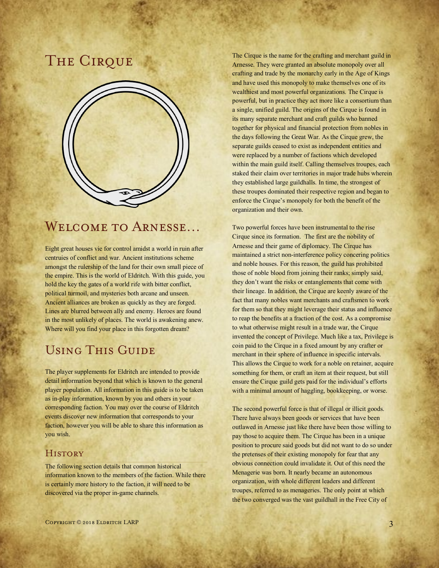## THE CIRQUE



## WELCOME TO ARNESSE...

Eight great houses vie for control amidst a world in ruin after centruies of conflict and war. Ancient institutions scheme amongst the rulership of the land for their own small piece of the empire. This is the world of Eldritch. With this guide, you hold the key the gates of a world rife with bitter conflict, political turmoil, and mysteries both arcane and unseen. Ancient alliances are broken as quickly as they are forged. Lines are blurred between ally and enemy. Heroes are found in the most unlikely of places. The world is awakening anew. Where will you find your place in this forgotten dream?

### Using This Guide

The player supplements for Eldritch are intended to provide detail information beyond that which is known to the general player population. All information in this guide is to be taken as in-play information, known by you and others in your corresponding faction. You may over the course of Eldritch events discover new information that corresponds to your faction, however you will be able to share this information as you wish.

#### **HISTORY**

The following section details that common historical information known to the members of the faction. While there is certainly more history to the faction, it will need to be discovered via the proper in-game channels.

The Cirque is the name for the crafting and merchant guild in Arnesse. They were granted an absolute monopoly over all crafting and trade by the monarchy early in the Age of Kings and have used this monopoly to make themselves one of its wealthiest and most powerful organizations. The Cirque is powerful, but in practice they act more like a consortium than a single, unified guild. The origins of the Cirque is found in its many separate merchant and craft guilds who banned together for physical and financial protection from nobles in the days following the Great War. As the Cirque grew, the separate guilds ceased to exist as independent entities and were replaced by a number of factions which developed within the main guild itself. Calling themselves troupes, each staked their claim over territories in major trade hubs wherein they established large guildhalls. In time, the strongest of these troupes dominated their respective region and began to enforce the Cirque's monopoly for both the benefit of the organization and their own.

Two powerful forces have been instrumental to the rise Cirque since its formation. The first are the nobility of Arnesse and their game of diplomacy. The Cirque has maintained a strict non-interference policy concering politics and noble houses. For this reason, the guild has prohibited those of noble blood from joining their ranks; simply said, they don't want the risks or entanglements that come with their lineage. In addition, the Cirque are keenly aware of the fact that many nobles want merchants and craftsmen to work for them so that they might leverage their status and influence to reap the benefits at a fraction of the cost. As a compromise to what otherwise might result in a trade war, the Cirque invented the concept of Privilege. Much like a tax, Privilege is coin paid to the Cirque in a fixed amount by any crafter or merchant in their sphere of influence in specific intervals. This allows the Cirque to work for a noble on retainer, acquire something for them, or craft an item at their request, but still ensure the Cirque guild gets paid for the individual's efforts with a minimal amount of haggling, bookkeeping, or worse.

The second powerful force is that of illegal or illicit goods. There have always been goods or services that have been outlawed in Arnesse just like there have been those willing to pay those to acquire them. The Cirque has been in a unique position to procure said goods but did not want to do so under the pretenses of their existing monopoly for fear that any obvious connection could invalidate it. Out of this need the Menagerie was born. It nearly became an autonomous organization, with whole different leaders and different troupes, referred to as menageries. The only point at which the two converged was the vast guildhall in the Free City of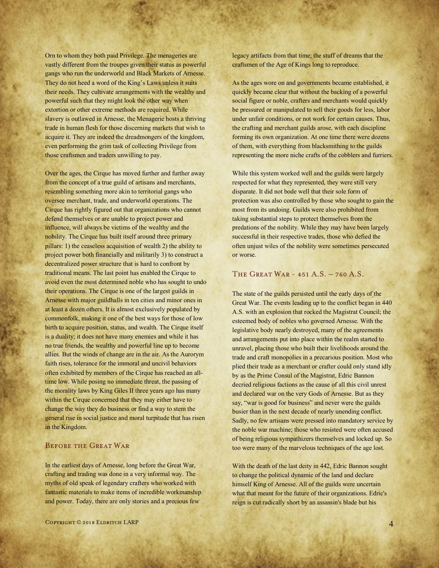Orn to whom they both paid Privilege. The menageries are vastly different from the troupes given their status as powerful gangs who run the underworld and Black Markets of Arnesse. They do not heed a word of the King's Laws unless it suits their needs. They cultivate arrangements with the wealthy and powerful such that they might look the other way when extortion or other extreme methods are required. While slavery is outlawed in Arnesse, the Menagerie hosts a thriving trade in human flesh for those discerning markets that wish to acquire it. They are indeed the dreadmongers of the kingdom, even performing the grim task of collecting Privilege from those craftsmen and traders unwilling to pay.

Over the ages, the Cirque has moved further and further away from the concept of a true guild of artisans and merchants, resembling something more akin to territorial gangs who oversee merchant, trade, and underworld operations. The Cirque has rightly figured out that organizations who cannot defend themselves or are unable to project power and influence, will always be victims of the wealthy and the nobility. The Cirque has built itself around three primary pillars: 1) the ceaseless acquisition of wealth 2) the ability to project power both financially and militarily 3) to construct a decentralized power structure that is hard to confront by traditional means. The last point has enabled the Cirque to avoid even the most determined noble who has sought to undo their operations. The Cirque is one of the largest guilds in Arnesse with major guildhalls in ten cities and minor ones in at least a dozen others. It is almost exclusively populated by commonfolk, making it one of the best ways for those of low birth to acquire position, status, and wealth. The Cirque itself is a duality; it does not have many enemies and while it has no true friends, the wealthy and powerful line up to become allies. But the winds of change are in the air. As the Aurorym faith rises, tolerance for the immoral and uncivil behaviors often exhibited by members of the Cirque has reached an alltime low. While posing no immediate threat, the passing of the morality laws by King Giles II three years ago has many within the Cirque concerned that they may either have to change the way they do business or find a way to stem the general rise in social justice and moral turpitude that has risen in the Kingdom.

#### Before the Great War

In the earliest days of Arnesse, long before the Great War, crafting and trading was done in a very informal way. The myths of old speak of legendary crafters who worked with fantastic materials to make items of incredible workmanship and power. Today, there are only stories and a precious few

legacy artifacts from that time; the stuff of dreams that the craftsmen of the Age of Kings long to reproduce.

As the ages wore on and governments became established, it quickly became clear that without the backing of a powerful social figure or noble, crafters and merchants would quickly be pressured or manipulated to sell their goods for less, labor under unfair conditions, or not work for certain causes. Thus, the crafting and merchant guilds arose, with each discipline forming its own organization. At one time there were dozens of them, with everything from blacksmithing to the guilds representing the more niche crafts of the cobblers and furriers.

While this system worked well and the guilds were largely respected for what they represented, they were still very disparate. It did not bode well that their sole form of protection was also controlled by those who sought to gain the most from its undoing. Guilds were also prohibited from taking substantial steps to protect themselves from the predations of the nobility. While they may have been largely successful in their respective trades, those who defied the often unjust wiles of the nobility were sometimes persecuted or worse.

#### The Great War - 451 A.S. – 760 A.S.

The state of the guilds persisted until the early days of the Great War. The events leading up to the conflict began in 440 A.S. with an explosion that rocked the Magistrat Council; the esteemed body of nobles who governed Arnesse. With the legislative body nearly destroyed, many of the agreements and arrangements put into place within the realm started to unravel, placing those who built their livelihoods around the trade and craft monopolies in a precarious position. Most who plied their trade as a merchant or crafter could only stand idly by as the Prime Consul of the Magistrat, Edric Bannon decried religious factions as the cause of all this civil unrest and declared war on the very Gods of Arnesse. But as they say, "war is good for business" and never were the guilds busier than in the next decade of nearly unending conflict. Sadly, no few artisans were pressed into mandatory service by the noble war machine; those who resisted were often accused of being religious sympathizers themselves and locked up. So too were many of the marvelous techniques of the age lost.

With the death of the last deity in 442, Edric Bannon sought to change the political dynamic of the land and declare himself King of Arnesse. All of the guilds were uncertain what that meant for the future of their organizations. Edric's reign is cut radically short by an assassin's blade but his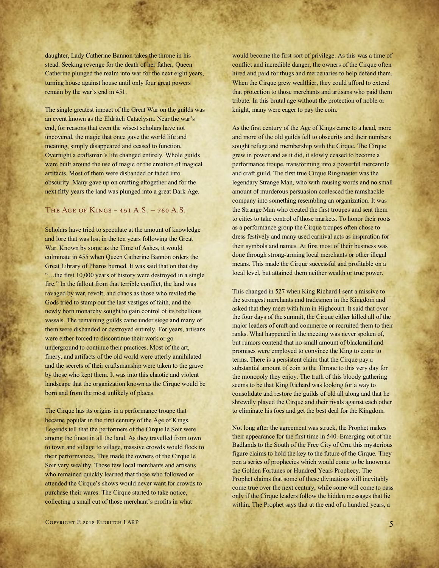daughter, Lady Catherine Bannon takes the throne in his stead. Seeking revenge for the death of her father, Queen Catherine plunged the realm into war for the next eight years, turning house against house until only four great powers remain by the war's end in 451.

The single greatest impact of the Great War on the guilds was an event known as the Eldritch Cataclysm. Near the war's end, for reasons that even the wisest scholars have not uncovered, the magic that once gave the world life and meaning, simply disappeared and ceased to function. Overnight a craftsman's life changed entirely. Whole guilds were built around the use of magic or the creation of magical artifacts. Most of them were disbanded or faded into obscurity. Many gave up on crafting altogether and for the next fifty years the land was plunged into a great Dark Age.

#### The Age of Kings - 451 A.S. – 760 A.S.

Scholars have tried to speculate at the amount of knowledge and lore that was lost in the ten years following the Great War. Known by some as the Time of Ashes, it would culminate in 455 when Queen Catherine Bannon orders the Great Library of Pharos burned. It was said that on that day "...the first 10,000 years of history were destroyed in a single fire." In the fallout from that terrible conflict, the land was ravaged by war, revolt, and chaos as those who reviled the Gods tried to stamp out the last vestiges of faith, and the newly born monarchy sought to gain control of its rebellious vassals. The remaining guilds came under siege and many of them were disbanded or destroyed entirely. For years, artisans were either forced to discontinue their work or go underground to continue their practices. Most of the art, finery, and artifacts of the old world were utterly annihilated and the secrets of their craftsmanship were taken to the grave by those who kept them. It was into this chaotic and violent landscape that the organization known as the Cirque would be born and from the most unlikely of places.

The Cirque has its origins in a performance troupe that became popular in the first century of the Age of Kings. Legends tell that the performers of the Cirque le Soir were among the finest in all the land. As they travelled from town to town and village to village, massive crowds would flock to their performances. This made the owners of the Cirque le Soir very wealthy. Those few local merchants and artisans who remained quickly learned that those who followed or attended the Cirque's shows would never want for crowds to purchase their wares. The Cirque started to take notice, collecting a small cut of those merchant's profits in what

would become the first sort of privilege. As this was a time of conflict and incredible danger, the owners of the Cirque often hired and paid for thugs and mercenaries to help defend them. When the Cirque grew wealthier, they could afford to extend that protection to those merchants and artisans who paid them tribute. In this brutal age without the protection of noble or knight, many were eager to pay the coin.

As the first century of the Age of Kings came to a head, more and more of the old guilds fell to obscurity and their numbers sought refuge and membership with the Cirque. The Cirque grew in power and as it did, it slowly ceased to become a performance troupe, transforming into a powerful mercantile and craft guild. The first true Cirque Ringmaster was the legendary Strange Man, who with rousing words and no small amount of murderous persuasion coalesced the ramshackle company into something resembling an organization. It was the Strange Man who created the first troupes and sent them to cities to take control of those markets. To honor their roots as a performance group the Cirque troupes often chose to dress festively and many used carnival acts as inspiration for their symbols and names. At first most of their business was done through strong-arming local merchants or other illegal means. This made the Cirque successful and profitable on a local level, but attained them neither wealth or true power.

This changed in 527 when King Richard I sent a missive to the strongest merchants and tradesmen in the Kingdom and asked that they meet with him in Highcourt. It said that over the four days of the summit, the Cirque either killed all of the major leaders of craft and commerce or recruited them to their ranks. What happened in the meeting was never spoken of, but rumors contend that no small amount of blackmail and promises were employed to convince the King to come to terms. There is a persistent claim that the Cirque pay a substantial amount of coin to the Throne to this very day for the monopoly they enjoy. The truth of this bloody gathering seems to be that King Richard was looking for a way to consolidate and restore the guilds of old all along and that he shrewdly played the Cirque and their rivals against each other to eliminate his foes and get the best deal for the Kingdom.

Not long after the agreement was struck, the Prophet makes their appearance for the first time in 540. Emerging out of the Badlands to the South of the Free City of Orn, this mysterious figure claims to hold the key to the future of the Cirque. They pen a series of prophecies which would come to be known as the Golden Fortunes or Hundred Years Prophecy. The Prophet claims that some of these divinations will inevitably come true over the next century, while some will come to pass only if the Cirque leaders follow the hidden messages that lie within. The Prophet says that at the end of a hundred years, a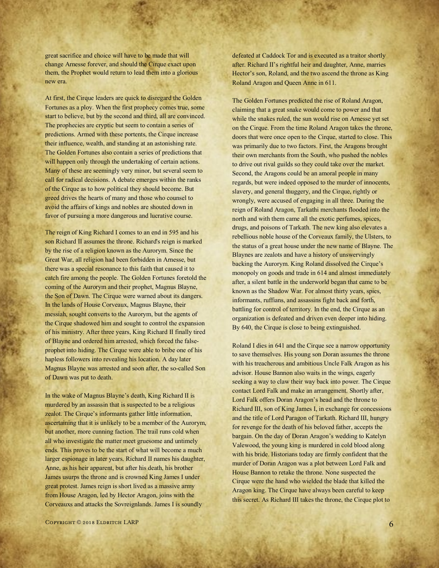great sacrifice and choice will have to be made that will change Arnesse forever, and should the Cirque exact upon them, the Prophet would return to lead them into a glorious new era.

At first, the Cirque leaders are quick to disregard the Golden Fortunes as a ploy. When the first prophecy comes true, some start to believe, but by the second and third, all are convinced. The prophecies are cryptic but seem to contain a series of predictions. Armed with these portents, the Cirque increase their influence, wealth, and standing at an astonishing rate. The Golden Fortunes also contain a series of predictions that will happen only through the undertaking of certain actions. Many of these are seemingly very minor, but several seem to call for radical decisions. A debate emerges within the ranks of the Cirque as to how political they should become. But greed drives the hearts of many and those who counsel to avoid the affairs of kings and nobles are shouted down in favor of pursuing a more dangerous and lucrative course.

The reign of King Richard I comes to an end in 595 and his son Richard II assumes the throne. Richard's reign is marked by the rise of a religion known as the Aurorym. Since the Great War, all religion had been forbidden in Arnesse, but there was a special resonance to this faith that caused it to catch fire among the people. The Golden Fortunes foretold the coming of the Aurorym and their prophet, Magnus Blayne, the Son of Dawn. The Cirque were warned about its dangers. In the lands of House Corveaux, Magnus Blayne, their messiah, sought converts to the Aurorym, but the agents of the Cirque shadowed him and sought to control the expansion of his ministry. After three years, King Richard II finally tired of Blayne and ordered him arrested, which forced the falseprophet into hiding. The Cirque were able to bribe one of his hapless followers into revealing his location. A day later Magnus Blayne was arrested and soon after, the so-called Son of Dawn was put to death.

In the wake of Magnus Blayne's death, King Richard II is murdered by an assassin that is suspected to be a religious zealot. The Cirque's informants gather little information, ascertaining that it is unlikely to be a member of the Aurorym, but another, more cunning faction. The trail runs cold when all who investigate the matter meet gruesome and untimely ends. This proves to be the start of what will become a much larger espionage in later years. Richard II names his daughter, Anne, as his heir apparent, but after his death, his brother James usurps the throne and is crowned King James I under great protest. James reign is short lived as a massive army from House Aragon, led by Hector Aragon, joins with the Corveauxs and attacks the Sovreignlands. James I is soundly

defeated at Caddock Tor and is executed as a traitor shortly after. Richard II's rightful heir and daughter, Anne, marries Hector's son, Roland, and the two ascend the throne as King Roland Aragon and Queen Anne in 611.

The Golden Fortunes predicted the rise of Roland Aragon, claiming that a great snake would come to power and that while the snakes ruled, the sun would rise on Arnesse yet set on the Cirque. From the time Roland Aragon takes the throne, doors that were once open to the Cirque, started to close. This was primarily due to two factors. First, the Aragons brought their own merchants from the South, who pushed the nobles to drive out rival guilds so they could take over the market. Second, the Aragons could be an amoral people in many regards, but were indeed opposed to the murder of innocents, slavery, and general thuggery, and the Cirque, rightly or wrongly, were accused of engaging in all three. During the reign of Roland Aragon, Tarkathi merchants flooded into the north and with them came all the exotic perfumes, spices, drugs, and poisons of Tarkath. The new king also elevates a rebellious noble house of the Corveaux family, the Ulsters, to the status of a great house under the new name of Blayne. The Blaynes are zealots and have a history of unswervingly backing the Aurorym. King Roland dissolved the Cirque's monopoly on goods and trade in 614 and almost immediately after, a silent battle in the underworld began that came to be known as the Shadow War. For almost thirty years, spies, informants, ruffians, and assassins fight back and forth, battling for control of territory. In the end, the Cirque as an organization is defeated and driven even deeper into hiding. By 640, the Cirque is close to being extinguished.

Roland I dies in 641 and the Cirque see a narrow opportunity to save themselves. His young son Doran assumes the throne with his treacherous and ambitious Uncle Falk Aragon as his advisor. House Bannon also waits in the wings, eagerly seeking a way to claw their way back into power. The Cirque contact Lord Falk and make an arrangement. Shortly after, Lord Falk offers Doran Aragon's head and the throne to Richard III, son of King James I, in exchange for concessions and the title of Lord Paragon of Tarkath. Richard III, hungry for revenge for the death of his beloved father, accepts the bargain. On the day of Doran Aragon's wedding to Katelyn Valewood, the young king is murdered in cold blood along with his bride. Historians today are firmly confident that the murder of Doran Aragon was a plot between Lord Falk and House Bannon to retake the throne. None suspected the Cirque were the hand who wielded the blade that killed the Aragon king. The Cirque have always been careful to keep this secret. As Richard III takes the throne, the Cirque plot to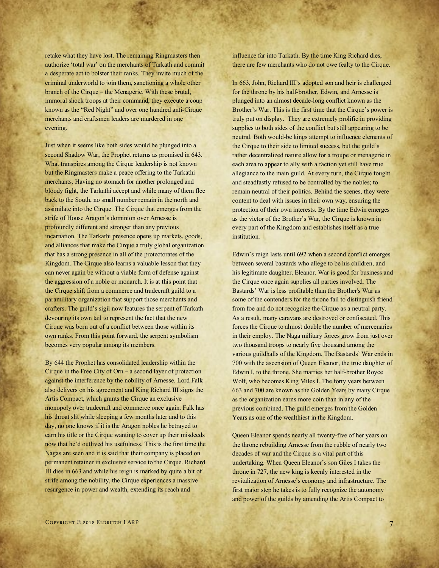retake what they have lost. The remaining Ringmasters then authorize 'total war' on the merchants of Tarkath and commit a desperate act to bolster their ranks. They invite much of the criminal underworld to join them, sanctioning a whole other branch of the Cirque – the Menagerie. With these brutal, immoral shock troops at their command, they execute a coup known as the "Red Night" and over one hundred anti-Cirque merchants and craftsmen leaders are murdered in one evening.

Just when it seems like both sides would be plunged into a second Shadow War, the Prophet returns as promised in 643. What transpires among the Cirque leadership is not known but the Ringmasters make a peace offering to the Tarkathi merchants. Having no stomach for another prolonged and bloody fight, the Tarkathi accept and while many of them flee back to the South, no small number remain in the north and assimilate into the Cirque. The Cirque that emerges from the strife of House Aragon's dominion over Arnesse is profoundly different and stronger than any previous incarnation. The Tarkathi presence opens up markets, goods, and alliances that make the Cirque a truly global organization that has a strong presence in all of the protectorates of the Kingdom. The Cirque also learns a valuable lesson that they can never again be without a viable form of defense against the aggression of a noble or monarch. It is at this point that the Cirque shift from a commerce and tradecraft guild to a paramilitary organization that support those merchants and crafters. The guild's sigil now features the serpent of Tarkath devouring its own tail to represent the fact that the new Cirque was born out of a conflict between those within its own ranks. From this point forward, the serpent symbolism becomes very popular among its members.

By 644 the Prophet has consolidated leadership within the Cirque in the Free City of Orn – a second layer of protection against the interference by the nobility of Arnesse. Lord Falk also delivers on his agreement and King Richard III signs the Artis Compact, which grants the Cirque an exclusive monopoly over tradecraft and commerce once again. Falk has his throat slit while sleeping a few months later and to this day, no one knows if it is the Aragon nobles he betrayed to earn his title or the Cirque wanting to cover up their misdeeds now that he'd outlived his usefulness. This is the first time the Nagas are seen and it is said that their company is placed on permanent retainer in exclusive service to the Cirque. Richard III dies in 663 and while his reign is marked by quite a bit of strife among the nobility, the Cirque experiences a massive resurgence in power and wealth, extending its reach and

influence far into Tarkath. By the time King Richard dies, there are few merchants who do not owe fealty to the Cirque.

In 663, John, Richard III's adopted son and heir is challenged for the throne by his half-brother, Edwin, and Arnesse is plunged into an almost decade-long conflict known as the Brother's War. This is the first time that the Cirque's power is truly put on display. They are extremely prolific in providing supplies to both sides of the conflict but still appearing to be neutral. Both would-be kings attempt to influence elements of the Cirque to their side to limited success, but the guild's rather decentralized nature allow for a troupe or menagerie in each area to appear to ally with a faction yet still have true allegiance to the main guild. At every turn, the Cirque fought and steadfastly refused to be controlled by the nobles; to remain neutral of their politics. Behind the scenes, they were content to deal with issues in their own way, ensuring the protection of their own interests. By the time Edwin emerges as the victor of the Brother's War, the Cirque is known in every part of the Kingdom and establishes itself as a true institution.

Edwin's reign lasts until 692 when a second conflict emerges between several bastards who allege to be his children, and his legitimate daughter, Eleanor. War is good for business and the Cirque once again supplies all parties involved. The Bastards' War is less profitable than the Brother's War as some of the contenders for the throne fail to distinguish friend from foe and do not recognize the Cirque as a neutral party. As a result, many caravans are destroyed or confiscated. This forces the Cirque to almost double the number of mercenaries in their employ. The Naga military forces grow from just over two thousand troops to nearly five thousand among the various guildhalls of the Kingdom. The Bastards' War ends in 700 with the ascension of Queen Eleanor, the true daughter of Edwin I, to the throne. She marries her half-brother Royce Wolf, who becomes King Miles I. The forty years between 663 and 700 are known as the Golden Years by many Cirque as the organization earns more coin than in any of the previous combined. The guild emerges from the Golden Years as one of the wealthiest in the Kingdom.

Queen Eleanor spends nearly all twenty-five of her years on the throne rebuilding Arnesse from the rubble of nearly two decades of war and the Cirque is a vital part of this undertaking. When Queen Eleanor's son Giles I takes the throne in 727, the new king is keenly interested in the revitalization of Arnesse's economy and infrastructure. The first major step he takes is to fully recognize the autonomy and power of the guilds by amending the Artis Compact to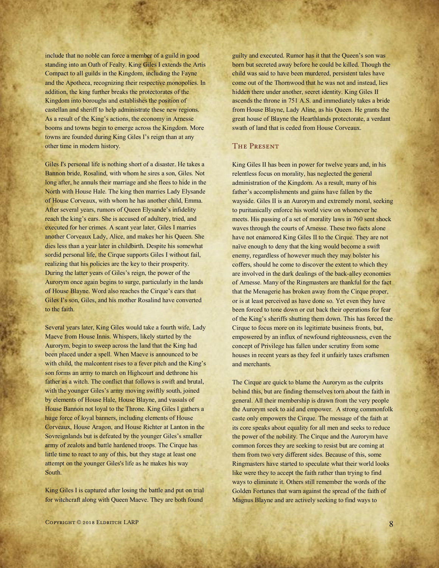include that no noble can force a member of a guild in good standing into an Oath of Fealty. King Giles I extends the Artis Compact to all guilds in the Kingdom, including the Fayne and the Apotheca, recognizing their respective monopolies. In addition, the king further breaks the protectorates of the Kingdom into boroughs and establishes the position of castellan and sheriff to help administrate these new regions. As a result of the King's actions, the economy in Arnesse booms and towns begin to emerge across the Kingdom. More towns are founded during King Giles I's reign than at any other time in modern history.

Giles I's personal life is nothing short of a disaster. He takes a Bannon bride, Rosalind, with whom he sires a son, Giles. Not long after, he annuls their marriage and she flees to hide in the North with House Hale. The king then marries Lady Elysande of House Corveaux, with whom he has another child, Emma. After several years, rumors of Queen Elysande's infidelity reach the king's ears. She is accused of adultery, tried, and executed for her crimes. A scant year later, Giles I marries another Corveaux Lady, Alice, and makes her his Queen. She dies less than a year later in childbirth. Despite his somewhat sordid personal life, the Cirque supports Giles I without fail, realizing that his policies are the key to their prosperity. During the latter years of Giles's reign, the power of the Aurorym once again begins to surge, particularly in the lands of House Blayne. Word also reaches the Cirque's ears that Giles I's son, Giles, and his mother Rosalind have converted to the faith.

Several years later, King Giles would take a fourth wife, Lady Maeve from House Innis. Whispers, likely started by the Aurorym, begin to sweep across the land that the King had been placed under a spell. When Maeve is announced to be with child, the malcontent rises to a fever pitch and the King's son forms an army to march on Highcourt and dethrone his father as a witch. The conflict that follows is swift and brutal, with the younger Giles's army moving swiftly south, joined by elements of House Hale, House Blayne, and vassals of House Bannon not loyal to the Throne. King Giles I gathers a huge force of loyal banners, including elements of House Corveaux, House Aragon, and House Richter at Lanton in the Sovreignlands but is defeated by the younger Giles's smaller army of zealots and battle hardened troops. The Cirque has little time to react to any of this, but they stage at least one attempt on the younger Giles's life as he makes his way South.

King Giles I is captured after losing the battle and put on trial for witchcraft along with Queen Maeve. They are both found

guilty and executed. Rumor has it that the Queen's son was born but secreted away before he could be killed. Though the child was said to have been murdered, persistent tales have come out of the Thornwood that he was not and instead, lies hidden there under another, secret identity. King Giles II ascends the throne in 751 A.S. and immediately takes a bride from House Blayne, Lady Aline, as his Queen. He grants the great house of Blayne the Hearthlands protectorate, a verdant swath of land that is ceded from House Corveaux.

#### The Present

King Giles II has been in power for twelve years and, in his relentless focus on morality, has neglected the general administration of the Kingdom. As a result, many of his father's accomplishments and gains have fallen by the wayside. Giles II is an Aurorym and extremely moral, seeking to puritanically enforce his world view on whomever he meets. His passing of a set of morality laws in 760 sent shock waves through the courts of Arnesse. These two facts alone have not enamored King Giles II to the Cirque. They are not naïve enough to deny that the king would become a swift enemy, regardless of however much they may bolster his coffers, should he come to discover the extent to which they are involved in the dark dealings of the back-alley economies of Arnesse. Many of the Ringmasters are thankful for the fact that the Menagerie has broken away from the Cirque proper, or is at least perceived as have done so. Yet even they have been forced to tone down or cut back their operations for fear of the King's sheriffs shutting them down. This has forced the Cirque to focus more on its legitimate business fronts, but, empowered by an influx of newfound righteousness, even the concept of Privilege has fallen under scrutiny from some houses in recent years as they feel it unfairly taxes craftsmen and merchants.

The Cirque are quick to blame the Aurorym as the culprits behind this, but are finding themselves torn about the faith in general. All their membership is drawn from the very people the Aurorym seek to aid and empower. A strong commonfolk caste only empowers the Cirque. The message of the faith at its core speaks about equality for all men and seeks to reduce the power of the nobility. The Cirque and the Aurorym have common forces they are seeking to resist but are coming at them from two very different sides. Because of this, some Ringmasters have started to speculate what their world looks like were they to accept the faith rather than trying to find ways to eliminate it. Others still remember the words of the Golden Fortunes that warn against the spread of the faith of Magnus Blayne and are actively seeking to find ways to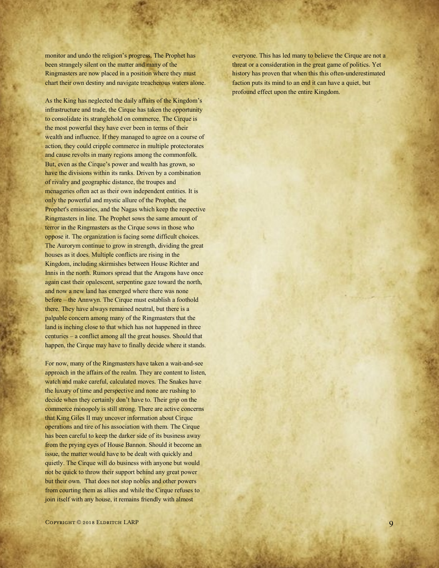monitor and undo the religion's progress. The Prophet has been strangely silent on the matter and many of the Ringmasters are now placed in a position where they must chart their own destiny and navigate treacherous waters alone.

As the King has neglected the daily affairs of the Kingdom's infrastructure and trade, the Cirque has taken the opportunity to consolidate its stranglehold on commerce. The Cirque is the most powerful they have ever been in terms of their wealth and influence. If they managed to agree on a course of action, they could cripple commerce in multiple protectorates and cause revolts in many regions among the commonfolk. But, even as the Cirque's power and wealth has grown, so have the divisions within its ranks. Driven by a combination of rivalry and geographic distance, the troupes and menageries often act as their own independent entities. It is only the powerful and mystic allure of the Prophet, the Prophet's emissaries, and the Nagas which keep the respective Ringmasters in line. The Prophet sows the same amount of terror in the Ringmasters as the Cirque sows in those who oppose it. The organization is facing some difficult choices. The Aurorym continue to grow in strength, dividing the great houses as it does. Multiple conflicts are rising in the Kingdom, including skirmishes between House Richter and Innis in the north. Rumors spread that the Aragons have once again cast their opalescent, serpentine gaze toward the north, and now a new land has emerged where there was none before – the Annwyn. The Cirque must establish a foothold there. They have always remained neutral, but there is a palpable concern among many of the Ringmasters that the land is inching close to that which has not happened in three centuries – a conflict among all the great houses. Should that happen, the Cirque may have to finally decide where it stands.

For now, many of the Ringmasters have taken a wait-and-see approach in the affairs of the realm. They are content to listen, watch and make careful, calculated moves. The Snakes have the luxury of time and perspective and none are rushing to decide when they certainly don't have to. Their grip on the commerce monopoly is still strong. There are active concerns that King Giles II may uncover information about Cirque operations and tire of his association with them. The Cirque has been careful to keep the darker side of its business away from the prying eyes of House Bannon. Should it become an issue, the matter would have to be dealt with quickly and quietly. The Cirque will do business with anyone but would not be quick to throw their support behind any great power but their own. That does not stop nobles and other powers from courting them as allies and while the Cirque refuses to join itself with any house, it remains friendly with almost

everyone. This has led many to believe the Cirque are not a threat or a consideration in the great game of politics. Yet history has proven that when this this often-underestimated faction puts its mind to an end it can have a quiet, but profound effect upon the entire Kingdom.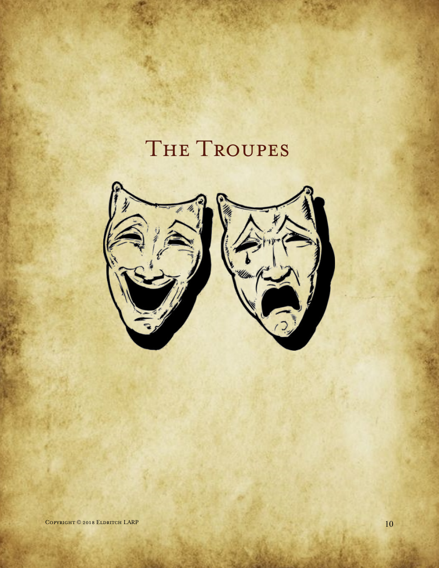# THE TROUPES

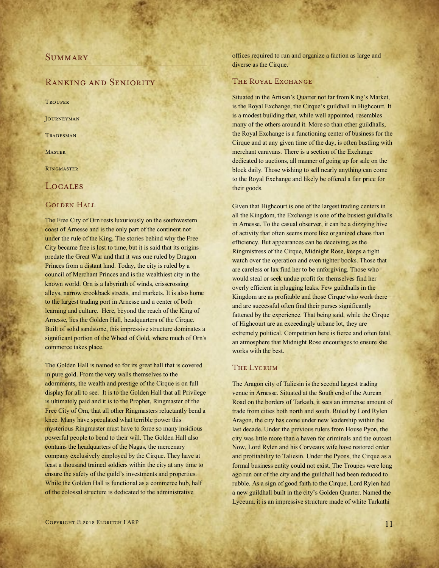#### **SUMMARY**

#### Ranking and Seniority

**TROUPER** 

**JOURNEYMAN** 

**TRADESMAN** 

**MASTER** 

**RINGMASTER** 

#### **LOCALES**

#### GOLDEN HALL

The Free City of Orn rests luxuriously on the southwestern coast of Arnesse and is the only part of the continent not under the rule of the King. The stories behind why the Free City became free is lost to time, but it is said that its origins predate the Great War and that it was one ruled by Dragon Princes from a distant land. Today, the city is ruled by a council of Merchant Princes and is the wealthiest city in the known world. Orn is a labyrinth of winds, crisscrossing alleys, narrow crookback streets, and markets. It is also home to the largest trading port in Arnesse and a center of both learning and culture. Here, beyond the reach of the King of Arnesse, lies the Golden Hall, headquarters of the Cirque. Built of solid sandstone, this impressive structure dominates a significant portion of the Wheel of Gold, where much of Orn's commerce takes place.

The Golden Hall is named so for its great hall that is covered in pure gold. From the very walls themselves to the adornments, the wealth and prestige of the Cirque is on full display for all to see. It is to the Golden Hall that all Privilege is ultimately paid and it is to the Prophet, Ringmaster of the Free City of Orn, that all other Ringmasters reluctantly bend a knee. Many have speculated what terrible power this mysterious Ringmaster must have to force so many insidious powerful people to bend to their will. The Golden Hall also contains the headquarters of the Nagas, the mercenary company exclusively employed by the Cirque. They have at least a thousand trained soldiers within the city at any time to ensure the safety of the guild's investments and properties. While the Golden Hall is functional as a commerce hub, half of the colossal structure is dedicated to the administrative

offices required to run and organize a faction as large and diverse as the Cirque.

#### THE ROYAL EXCHANGE

Situated in the Artisan's Quarter not far from King's Market, is the Royal Exchange, the Cirque's guildhall in Highcourt. It is a modest building that, while well appointed, resembles many of the others around it. More so than other guildhalls, the Royal Exchange is a functioning center of business for the Cirque and at any given time of the day, is often bustling with merchant caravans. There is a section of the Exchange dedicated to auctions, all manner of going up for sale on the block daily. Those wishing to sell nearly anything can come to the Royal Exchange and likely be offered a fair price for their goods.

Given that Highcourt is one of the largest trading centers in all the Kingdom, the Exchange is one of the busiest guildhalls in Arnesse. To the casual observer, it can be a dizzying hive of activity that often seems more like organized chaos than efficiency. But appearances can be deceiving, as the Ringmistress of the Cirque, Midnight Rose, keeps a tight watch over the operation and even tighter books. Those that are careless or lax find her to be unforgiving. Those who would steal or seek undue profit for themselves find her overly efficient in plugging leaks. Few guildhalls in the Kingdom are as profitable and those Cirque who work there and are successful often find their purses significantly fattened by the experience. That being said, while the Cirque of Highcourt are an exceedingly urbane lot, they are extremely political. Competition here is fierce and often fatal, an atmosphere that Midnight Rose encourages to ensure she works with the best.

#### THE LYCEUM

The Aragon city of Taliesin is the second largest trading venue in Arnesse. Situated at the South end of the Aurean Road on the borders of Tarkath, it sees an immense amount of trade from cities both north and south. Ruled by Lord Rylen Aragon, the city has come under new leadership within the last decade. Under the previous rulers from House Pyon, the city was little more than a haven for criminals and the outcast. Now, Lord Rylen and his Corveaux wife have restored order and profitability to Taliesin. Under the Pyons, the Cirque as a formal business entity could not exist. The Troupes were long ago run out of the city and the guildhall had been reduced to rubble. As a sign of good faith to the Cirque, Lord Rylen had a new guildhall built in the city's Golden Quarter. Named the Lyceum, it is an impressive structure made of white Tarkathi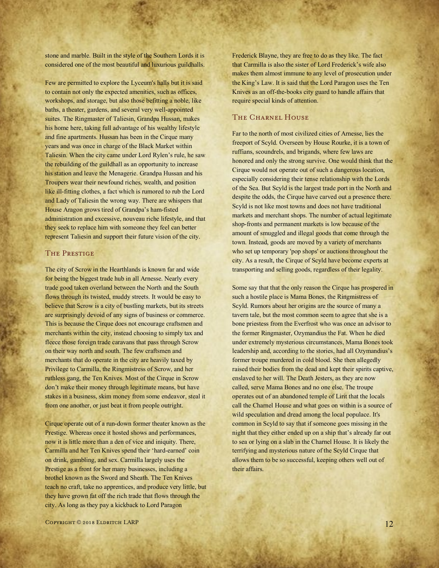stone and marble. Built in the style of the Southern Lords it is considered one of the most beautiful and luxurious guildhalls.

Few are permitted to explore the Lyceum's halls but it is said to contain not only the expected amenities, such as offices, workshops, and storage, but also those befitting a noble, like baths, a theater, gardens, and several very well-appointed suites. The Ringmaster of Taliesin, Grandpa Hussan, makes his home here, taking full advantage of his wealthy lifestyle and fine apartments. Hussan has been in the Cirque many years and was once in charge of the Black Market within Taliesin. When the city came under Lord Rylen's rule, he saw the rebuilding of the guildhall as an opportunity to increase his station and leave the Menagerie. Grandpa Hussan and his Troupers wear their newfound riches, wealth, and position like ill-fitting clothes, a fact which is rumored to rub the Lord and Lady of Taliesin the wrong way. There are whispers that House Aragon grows tired of Grandpa's ham-fisted administration and excessive, nouveau riche lifestyle, and that they seek to replace him with someone they feel can better represent Taliesin and support their future vision of the city.

#### THE PRESTIGE

The city of Scrow in the Hearthlands is known far and wide for being the biggest trade hub in all Arnesse. Nearly every trade good taken overland between the North and the South flows through its twisted, muddy streets. It would be easy to believe that Scrow is a city of bustling markets, but its streets are surprisingly devoid of any signs of business or commerce. This is because the Cirque does not encourage craftsmen and merchants within the city, instead choosing to simply tax and fleece those foreign trade caravans that pass through Scrow on their way north and south. The few craftsmen and merchants that do operate in the city are heavily taxed by Privilege to Carmilla, the Ringmistress of Scrow, and her ruthless gang, the Ten Knives. Most of the Cirque in Scrow don't make their money through legitimate means, but have stakes in a business, skim money from some endeavor, steal it from one another, or just beat it from people outright.

Cirque operate out of a run-down former theater known as the Prestige. Whereas once it hosted shows and performances, now it is little more than a den of vice and iniquity. There, Carmilla and her Ten Knives spend their 'hard-earned' coin on drink, gambling, and sex. Carmilla largely uses the Prestige as a front for her many businesses, including a brothel known as the Sword and Sheath. The Ten Knives teach no craft, take no apprentices, and produce very little, but they have grown fat off the rich trade that flows through the city. As long as they pay a kickback to Lord Paragon

Frederick Blayne, they are free to do as they like. The fact that Carmilla is also the sister of Lord Frederick's wife also makes them almost immune to any level of prosecution under the King's Law. It is said that the Lord Paragon uses the Ten Knives as an off-the-books city guard to handle affairs that require special kinds of attention.

#### THE CHARNEL HOUSE

Far to the north of most civilized cities of Arnesse, lies the freeport of Scyld. Overseen by House Rourke, it is a town of ruffians, scoundrels, and brigands, where few laws are honored and only the strong survive. One would think that the Cirque would not operate out of such a dangerous location, especially considering their tense relationship with the Lords of the Sea. But Scyld is the largest trade port in the North and despite the odds, the Cirque have carved out a presence there. Scyld is not like most towns and does not have traditional markets and merchant shops. The number of actual legitimate shop-fronts and permanent markets is low because of the amount of smuggled and illegal goods that come through the town. Instead, goods are moved by a variety of merchants who set up temporary 'pop shops' or auctions throughout the city. As a result, the Cirque of Scyld have become experts at transporting and selling goods, regardless of their legality.

Some say that that the only reason the Cirque has prospered in such a hostile place is Mama Bones, the Ringmistress of Scyld. Rumors about her origins are the source of many a tavern tale, but the most common seem to agree that she is a bone priestess from the Everfrost who was once an advisor to the former Ringmaster, Ozymandius the Fat. When he died under extremely mysterious circumstances, Mama Bones took leadership and, according to the stories, had all Ozymandius's former troupe murdered in cold blood. She then allegedly raised their bodies from the dead and kept their spirits captive, enslaved to her will. The Death Jesters, as they are now called, serve Mama Bones and no one else. The troupe operates out of an abandoned temple of Lirit that the locals call the Charnel House and what goes on within is a source of wild speculation and dread among the local populace. It's common in Scyld to say that if someone goes missing in the night that they either ended up on a ship that's already far out to sea or lying on a slab in the Charnel House. It is likely the terrifying and mysterious nature of the Scyld Cirque that allows them to be so successful, keeping others well out of their affairs.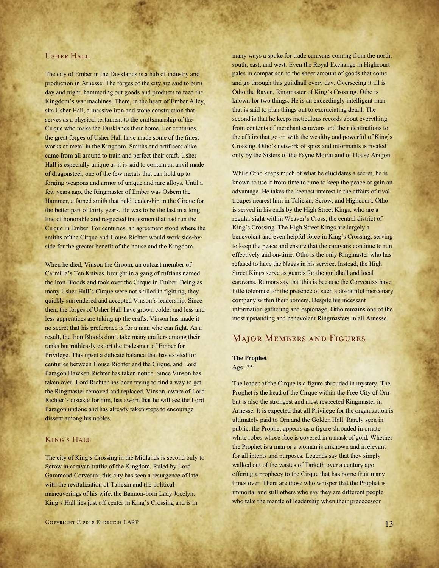#### Usher Hall

The city of Ember in the Dusklands is a hub of industry and production in Arnesse. The forges of the city are said to burn day and night, hammering out goods and products to feed the Kingdom's war machines. There, in the heart of Ember Alley, sits Usher Hall, a massive iron and stone construction that serves as a physical testament to the craftsmanship of the Cirque who make the Dusklands their home. For centuries, the great forges of Usher Hall have made some of the finest works of metal in the Kingdom. Smiths and artificers alike came from all around to train and perfect their craft. Usher Hall is especially unique as it is said to contain an anvil made of dragonsteel, one of the few metals that can hold up to forging weapons and armor of unique and rare alloys. Until a few years ago, the Ringmaster of Ember was Osbern the Hammer, a famed smith that held leadership in the Cirque for the better part of thirty years. He was to be the last in a long line of honorable and respected tradesmen that had run the Cirque in Ember. For centuries, an agreement stood where the smiths of the Cirque and House Richter would work side-byside for the greater benefit of the house and the Kingdom.

When he died, Vinson the Groom, an outcast member of Carmilla's Ten Knives, brought in a gang of ruffians named the Iron Bloods and took over the Cirque in Ember. Being as many Usher Hall's Cirque were not skilled in fighting, they quickly surrendered and accepted Vinson's leadership. Since then, the forges of Usher Hall have grown colder and less and less apprentices are taking up the crafts. Vinson has made it no secret that his preference is for a man who can fight. As a result, the Iron Bloods don't take many crafters among their ranks but ruthlessly extort the tradesmen of Ember for Privilege. This upset a delicate balance that has existed for centuries between House Richter and the Cirque, and Lord Paragon Hawken Richter has taken notice. Since Vinson has taken over, Lord Richter has been trying to find a way to get the Ringmaster removed and replaced. Vinson, aware of Lord Richter's distaste for him, has sworn that he will see the Lord Paragon undone and has already taken steps to encourage dissent among his nobles.

#### KING'S HALL

The city of King's Crossing in the Midlands is second only to Scrow in caravan traffic of the Kingdom. Ruled by Lord Garamond Corveaux, this city has seen a resurgence of late with the revitalization of Taliesin and the political maneuverings of his wife, the Bannon-born Lady Jocelyn. King's Hall lies just off center in King's Crossing and is in

many ways a spoke for trade caravans coming from the north, south, east, and west. Even the Royal Exchange in Highcourt pales in comparison to the sheer amount of goods that come and go through this guildhall every day. Overseeing it all is Otho the Raven, Ringmaster of King's Crossing. Otho is known for two things. He is an exceedingly intelligent man that is said to plan things out to excruciating detail. The second is that he keeps meticulous records about everything from contents of merchant caravans and their destinations to the affairs that go on with the wealthy and powerful of King's Crossing. Otho's network of spies and informants is rivaled only by the Sisters of the Fayne Moirai and of House Aragon.

While Otho keeps much of what he elucidates a secret, he is known to use it from time to time to keep the peace or gain an advantage. He takes the keenest interest in the affairs of rival troupes nearest him in Taliesin, Scrow, and Highcourt. Otho is served in his ends by the High Street Kings, who are a regular sight within Weaver's Cross, the central district of King's Crossing. The High Street Kings are largely a benevolent and even helpful force in King's Crossing, serving to keep the peace and ensure that the caravans continue to run effectively and on-time. Otho is the only Ringmaster who has refused to have the Nagas in his service. Instead, the High Street Kings serve as guards for the guildhall and local caravans. Rumors say that this is because the Corveauxs have little tolerance for the presence of such a disdainful mercenary company within their borders. Despite his incessant information gathering and espionage, Otho remains one of the most upstanding and benevolent Ringmasters in all Arnesse.

#### Major Members and Figures

#### **The Prophet**

Age: ??

The leader of the Cirque is a figure shrouded in mystery. The Prophet is the head of the Cirque within the Free City of Orn but is also the strongest and most respected Ringmaster in Arnesse. It is expected that all Privilege for the organization is ultimately paid to Orn and the Golden Hall. Rarely seen in public, the Prophet appears as a figure shrouded in ornate white robes whose face is covered in a mask of gold. Whether the Prophet is a man or a woman is unknown and irrelevant for all intents and purposes. Legends say that they simply walked out of the wastes of Tarkath over a century ago offering a prophecy to the Cirque that has borne fruit many times over. There are those who whisper that the Prophet is immortal and still others who say they are different people who take the mantle of leadership when their predecessor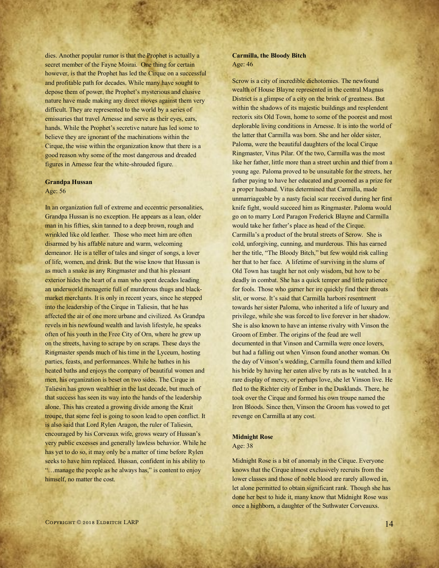dies. Another popular rumor is that the Prophet is actually a secret member of the Fayne Moirai. One thing for certain however, is that the Prophet has led the Cirque on a successful and profitable path for decades. While many have sought to depose them of power, the Prophet's mysterious and elusive nature have made making any direct moves against them very difficult. They are represented to the world by a series of emissaries that travel Arnesse and serve as their eyes, ears, hands. While the Prophet's secretive nature has led some to believe they are ignorant of the machinations within the Cirque, the wise within the organization know that there is a good reason why some of the most dangerous and dreaded figures in Arnesse fear the white-shrouded figure.

#### **Grandpa Hussan**

#### Age: 56

In an organization full of extreme and eccentric personalities, Grandpa Hussan is no exception. He appears as a lean, older man in his fifties, skin tanned to a deep brown, rough and wrinkled like old leather. Those who meet him are often disarmed by his affable nature and warm, welcoming demeanor. He is a teller of tales and singer of songs, a lover of life, women, and drink. But the wise know that Hussan is as much a snake as any Ringmaster and that his pleasant exterior hides the heart of a man who spent decades leading an underworld menagerie full of murderous thugs and blackmarket merchants. It is only in recent years, since he stepped into the leadership of the Cirque in Taliesin, that he has affected the air of one more urbane and civilized. As Grandpa revels in his newfound wealth and lavish lifestyle, he speaks often of his youth in the Free City of Orn, where he grew up on the streets, having to scrape by on scraps. These days the Ringmaster spends much of his time in the Lyceum, hosting parties, feasts, and performances. While he bathes in his heated baths and enjoys the company of beautiful women and men, his organization is beset on two sides. The Cirque in Taliesin has grown wealthier in the last decade, but much of that success has seen its way into the hands of the leadership alone. This has created a growing divide among the Krait troupe, that some feel is going to soon lead to open conflict. It is also said that Lord Rylen Aragon, the ruler of Taliesin, encouraged by his Corveaux wife, grows weary of Hussan's very public excesses and generally lawless behavior. While he has yet to do so, it may only be a matter of time before Rylen seeks to have him replaced. Hussan, confident in his ability to "…manage the people as he always has," is content to enjoy himself, no matter the cost.

#### **Carmilla, the Bloody Bitch** Age: 46

Scrow is a city of incredible dichotomies. The newfound wealth of House Blayne represented in the central Magnus District is a glimpse of a city on the brink of greatness. But within the shadows of its majestic buildings and resplendent rectorix sits Old Town, home to some of the poorest and most deplorable living conditions in Arnesse. It is into the world of the latter that Carmilla was born. She and her older sister, Paloma, were the beautiful daughters of the local Cirque Ringmaster, Vitus Pilar. Of the two, Carmilla was the most like her father, little more than a street urchin and thief from a young age. Paloma proved to be unsuitable for the streets, her father paying to have her educated and groomed as a prize for a proper husband. Vitus determined that Carmilla, made unmarriageable by a nasty facial scar received during her first knife fight, would succeed him as Ringmaster. Paloma would go on to marry Lord Paragon Frederick Blayne and Carmilla would take her father's place as head of the Cirque. Carmilla's a product of the brutal streets of Scrow. She is cold, unforgiving, cunning, and murderous. This has earned her the title, "The Bloody Bitch," but few would risk calling her that to her face. A lifetime of surviving in the slums of Old Town has taught her not only wisdom, but how to be deadly in combat. She has a quick temper and little patience for fools. Those who garner her ire quickly find their throats slit, or worse. It's said that Carmilla harbors resentment towards her sister Paloma, who inherited a life of luxury and privilege, while she was forced to live forever in her shadow. She is also known to have an intense rivalry with Vinson the Groom of Ember. The origins of the feud are well documented in that Vinson and Carmilla were once lovers, but had a falling out when Vinson found another woman. On the day of Vinson's wedding, Carmilla found them and killed his bride by having her eaten alive by rats as he watched. In a rare display of mercy, or perhaps love, she let Vinson live. He fled to the Richter city of Ember in the Dusklands. There, he took over the Cirque and formed his own troupe named the Iron Bloods. Since then, Vinson the Groom has vowed to get revenge on Carmilla at any cost.

#### **Midnight Rose**

Age: 38

Midnight Rose is a bit of anomaly in the Cirque. Everyone knows that the Cirque almost exclusively recruits from the lower classes and those of noble blood are rarely allowed in, let alone permitted to obtain significant rank. Though she has done her best to hide it, many know that Midnight Rose was once a highborn, a daughter of the Suthwater Corveauxs.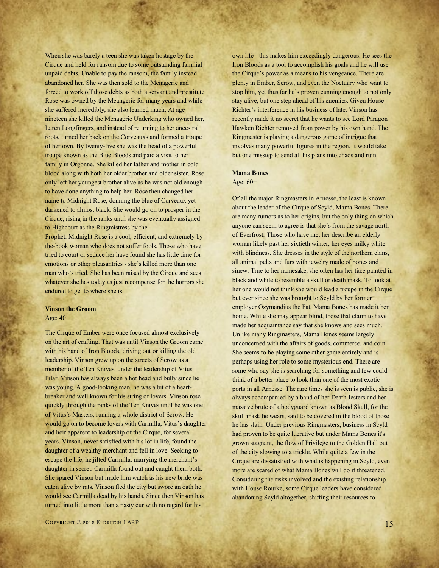When she was barely a teen she was taken hostage by the Cirque and held for ransom due to some outstanding familial unpaid debts. Unable to pay the ransom, the family instead abandoned her. She was then sold to the Menagerie and forced to work off those debts as both a servant and prostitute. Rose was owned by the Meangerie for many years and while she suffered incredibly, she also learned much. At age nineteen she killed the Menagerie Underking who owned her, Laren Longfingers, and instead of returning to her ancestral roots, turned her back on the Corveauxs and formed a troupe of her own. By twenty-five she was the head of a powerful troupe known as the Blue Bloods and paid a visit to her family in Orgonne. She killed her father and mother in cold blood along with both her older brother and older sister. Rose only left her youngest brother alive as he was not old enough to have done anything to help her. Rose then changed her name to Midnight Rose, donning the blue of Corveaux yet darkened to almost black. She would go on to prosper in the Cirque, rising in the ranks until she was eventually assigned to Highcourt as the Ringmistress by the

Prophet. Midnight Rose is a cool, efficient, and extremely bythe-book woman who does not suffer fools. Those who have tried to court or seduce her have found she has little time for emotions or other pleasantries - she's killed more than one man who's tried. She has been raised by the Cirque and sees whatever she has today as just recompense for the horrors she endured to get to where she is.

#### **Vinson the Groom**

Age: 40

The Cirque of Ember were once focused almost exclusively on the art of crafting. That was until Vinson the Groom came with his band of Iron Bloods, driving out or killing the old leadership. Vinson grew up on the streets of Scrow as a member of the Ten Knives, under the leadership of Vitus Pilar. Vinson has always been a hot head and bully since he was young. A good-looking man, he was a bit of a heartbreaker and well known for his string of lovers. Vinson rose quickly through the ranks of the Ten Knives until he was one of Vitus's Masters, running a whole district of Scrow. He would go on to become lovers with Carmilla, Vitus's daughter and heir apparent to leadership of the Cirque, for several years. Vinson, never satisfied with his lot in life, found the daughter of a wealthy merchant and fell in love. Seeking to escape the life, he jilted Carmilla, marrying the merchant's daughter in secret. Carmilla found out and caught them both. She spared Vinson but made him watch as his new bride was eaten alive by rats. Vinson fled the city but swore an oath he would see Carmilla dead by his hands. Since then Vinson has turned into little more than a nasty cur with no regard for his

own life - this makes him exceedingly dangerous. He sees the Iron Bloods as a tool to accomplish his goals and he will use the Cirque's power as a means to his vengeance. There are plenty in Ember, Scrow, and even the Noctuary who want to stop him, yet thus far he's proven cunning enough to not only stay alive, but one step ahead of his enemies. Given House Richter's interference in his business of late, Vinson has recently made it no secret that he wants to see Lord Paragon Hawken Richter removed from power by his own hand. The Ringmaster is playing a dangerous game of intrigue that involves many powerful figures in the region. It would take but one misstep to send all his plans into chaos and ruin.

#### **Mama Bones**

Age: 60+

Of all the major Ringmasters in Arnesse, the least is known about the leader of the Cirque of Scyld, Mama Bones. There are many rumors as to her origins, but the only thing on which anyone can seem to agree is that she's from the savage north of Everfrost. Those who have met her describe an elderly woman likely past her sixtieth winter, her eyes milky white with blindness. She dresses in the style of the northern clans, all animal pelts and furs with jewelry made of bones and sinew. True to her namesake, she often has her face painted in black and white to resemble a skull or death mask. To look at her one would not think she would lead a troupe in the Cirque but ever since she was brought to Scyld by her former employer Ozymandius the Fat, Mama Bones has made it her home. While she may appear blind, those that claim to have made her acquaintance say that she knows and sees much. Unlike many Ringmasters, Mama Bones seems largely unconcerned with the affairs of goods, commerce, and coin. She seems to be playing some other game entirely and is perhaps using her role to some mysterious end. There are some who say she is searching for something and few could think of a better place to look than one of the most exotic ports in all Arnesse. The rare times she is seen is public, she is always accompanied by a band of her Death Jesters and her massive brute of a bodyguard known as Blood Skull, for the skull mask he wears, said to be covered in the blood of those he has slain. Under previous Ringmasters, business in Scyld had proven to be quite lucrative but under Mama Bones it's grown stagnant, the flow of Privilege to the Golden Hall out of the city slowing to a trickle. While quite a few in the Cirque are dissatisfied with what is happening in Scyld, even more are scared of what Mama Bones will do if threatened. Considering the risks involved and the existing relationship with House Rourke, some Cirque leaders have considered abandoning Scyld altogether, shifting their resources to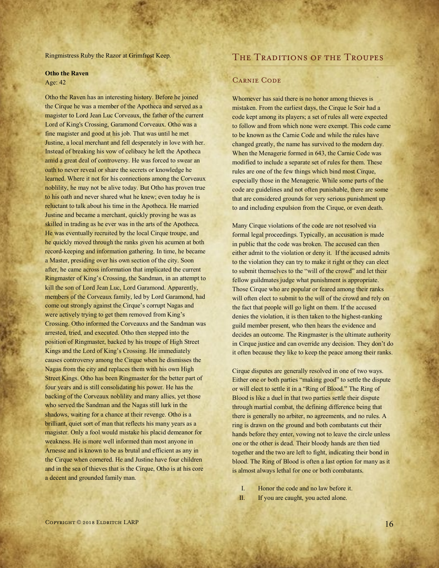Ringmistress Ruby the Razor at Grimfrost Keep.

#### **Otho the Raven**

Age: 42

Otho the Raven has an interesting history. Before he joined the Cirque he was a member of the Apotheca and served as a magister to Lord Jean Luc Corveaux, the father of the current Lord of King's Crossing, Garamond Corveaux. Otho was a fine magister and good at his job. That was until he met Justine, a local merchant and fell desperately in love with her. Instead of breaking his vow of celibacy he left the Apotheca amid a great deal of controversy. He was forced to swear an oath to never reveal or share the secrets or knowledge he learned. Where it not for his connections among the Corveaux noblility, he may not be alive today. But Otho has proven true to his oath and never shared what he knew; even today he is reluctant to talk about his time in the Apotheca. He married Justine and became a merchant, quickly proving he was as skilled in trading as he ever was in the arts of the Apotheca. He was eventually recruited by the local Cirque troupe, and he quickly moved through the ranks given his acumen at both record-keeping and information gathering. In time, he became a Master, presiding over his own section of the city. Soon after, he came across information that implicated the current Ringmaster of King's Crossing, the Sandman, in an attempt to kill the son of Lord Jean Luc, Lord Garamond. Apparently, members of the Corveaux family, led by Lord Garamond, had come out strongly against the Cirque's corrupt Nagas and were actively trying to get them removed from King's Crossing. Otho informed the Corveauxs and the Sandman was arrested, tried, and executed. Otho then stepped into the position of Ringmaster, backed by his troupe of High Street Kings and the Lord of King's Crossing. He immediately causes controversy among the Cirque when he dismisses the Nagas from the city and replaces them with his own High Street Kings. Otho has been Ringmaster for the better part of four years and is still consolidating his power. He has the backing of the Corveaux noblility and many allies, yet those who served the Sandman and the Nagas still lurk in the shadows, waiting for a chance at their revenge. Otho is a brilliant, quiet sort of man that reflects his many years as a magister. Only a fool would mistake his placid demeanor for weakness. He is more well informed than most anyone in Arnesse and is known to be as brutal and efficient as any in the Cirque when cornered. He and Justine have four children and in the sea of thieves that is the Cirque, Otho is at his core a decent and grounded family man.

#### THE TRADITIONS OF THE TROUPES

#### Carnie Code

Whomever has said there is no honor among thieves is mistaken. From the earliest days, the Cirque le Soir had a code kept among its players; a set of rules all were expected to follow and from which none were exempt. This code came to be known as the Carnie Code and while the rules have changed greatly, the name has survived to the modern day. When the Menagerie formed in 643, the Carnie Code was modified to include a separate set of rules for them. These rules are one of the few things which bind most Cirque, especially those in the Menagerie. While some parts of the code are guidelines and not often punishable, there are some that are considered grounds for very serious punishment up to and including expulsion from the Cirque, or even death.

Many Cirque violations of the code are not resolved via formal legal proceedings. Typically, an accusation is made in public that the code was broken. The accused can then either admit to the violation or deny it. If the accused admits to the violation they can try to make it right or they can elect to submit themselves to the "will of the crowd" and let their fellow guildmates judge what punishment is appropriate. Those Cirque who are popular or feared among their ranks will often elect to submit to the will of the crowd and rely on the fact that people will go light on them. If the accused denies the violation, it is then taken to the highest-ranking guild member present, who then hears the evidence and decides an outcome. The Ringmaster is the ultimate authority in Cirque justice and can override any decision. They don't do it often because they like to keep the peace among their ranks.

Cirque disputes are generally resolved in one of two ways. Either one or both parties "making good" to settle the dispute or will elect to settle it in a "Ring of Blood." The Ring of Blood is like a duel in that two parties settle their dispute through martial combat, the defining difference being that there is generally no arbiter, no agreements, and no rules. A ring is drawn on the ground and both combatants cut their hands before they enter, vowing not to leave the circle unless one or the other is dead. Their bloody hands are then tied together and the two are left to fight, indicating their bond in blood. The Ring of Blood is often a last option for many as it is almost always lethal for one or both combatants.

I. Honor the code and no law before it. II. If you are caught, you acted alone.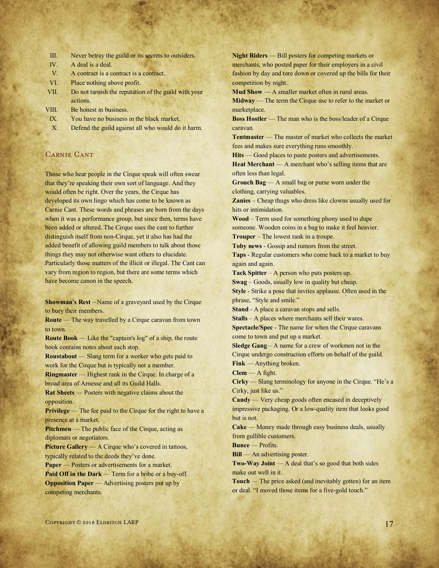| Ш. |  |  |  |  |  |  |  | Never betray the guild or its secrets to outsiders. |
|----|--|--|--|--|--|--|--|-----------------------------------------------------|
|----|--|--|--|--|--|--|--|-----------------------------------------------------|

- IV. A deal is a deal.
- V. A contract is a contract is a contract.
- VI. Place nothing above profit.
- VII. Do not tarnish the reputation of the guild with your actions.
- VIII. Be honest in business.
- IX. You have no business in the black market.
- X. Defend the guild against all who would do it harm.

#### Carnie Cant

Those who hear people in the Cirque speak will often swear that they're speaking their own sort of language. And they would often be right. Over the years, the Cirque has developed its own lingo which has come to be known as Carnie Cant. These words and phrases are born from the days when it was a performance group, but since then, terms have been added or altered. The Cirque uses the cant to further distinguish itself from non-Cirque, yet it also has had the added benefit of allowing guild members to talk about those things they may not otherwise want others to elucidate. Particularly those matters of the illicit or illegal. The Cant can vary from region to region, but there are some terms which have become canon in the speech.

**Showman's Rest** – Name of a graveyard used by the Cirque to bury their members.

**Route** — The way travelled by a Cirque caravan from town to town.

**Route Book** — Like the "captain's log" of a ship, the route book contains notes about each stop.

**Roustabout** — Slang term for a worker who gets paid to work for the Cirque but is typically not a member.

**Ringmaster** — Highest rank in the Cirque. In charge of a broad area of Arnesse and all its Guild Halls.

**Rat Sheets** — Posters with negative claims about the opposition.

**Privilege** — The fee paid to the Cirque for the right to have a presence at a market.

**Pitchmen** — The public face of the Cirque, acting as diplomats or negotiators.

**Picture Gallery** — A Cirque who's covered in tattoos, typically related to the deeds they've done.

**Paper** — Posters or advertisements for a market. **Paid Off in the Dark** — Term for a bribe or a buy-off. **Opposition Paper** — Advertising posters put up by competing merchants.

**Night Riders** — Bill posters for competing markets or merchants, who posted paper for their employers in a civil fashion by day and tore down or covered up the bills for their competition by night.

**Mud Show** — A smaller market often in rural areas. **Midway** — The term the Cirque use to refer to the market or marketplace.

**Boss Hostler** — The man who is the boss/leader of a Cirque caravan.

**Tentmaster** — The master of market who collects the market fees and makes sure everything runs smoothly.

**Hits** — Good places to paste posters and advertisements. **Heat Merchant** — A merchant who's selling items that are often less than legal.

**Grouch Bag** — A small bag or purse worn under the clothing, carrying valuables.

**Zanies** – Cheap thugs who dress like clowns usually used for hits or intimidation.

**Wood** – Term used for something phony used to dupe someone. Wooden coins in a bag to make it feel heavier. **Trouper** – The lowest rank in a troupe.

**Toby news** - Gossip and rumors from the street.

**Taps** - Regular customers who come back to a market to buy again and again.

**Tack Spitter** – A person who puts posters up.

**Swag** – Goods, usually low in quality but cheap.

**Style** - Strike a pose that invites applause. Often used in the phrase, "Style and smile."

**Stand** - A place a caravan stops and sells.

**Stalls** – A places where merchants sell their wares. **Spectacle/Spec** - The name for when the Cirque caravans come to town and put up a market.

**Sledge Gang** – A name for a crew of workmen not in the Cirque undergo construction efforts on behalf of the guild. **Fink** — Anything broken.

**Clem** — A fight.

**Cirky** — Slang terminology for anyone in the Cirque. "He's a Cirky, just like us."

**Candy** — Very cheap goods often encased in deceptively impressive packaging. Or a low-quality item that looks good but is not.

**Cake** — Money made through easy business deals, usually from gullible customers.

**Bunce** — Profits.

**Bill** — An advertising poster.

**Two-Way Joint** — A deal that's so good that both sides make out well in it.

**Touch** — The price asked (and inevitably gotten) for an item or deal. "I moved those items for a five-gold touch."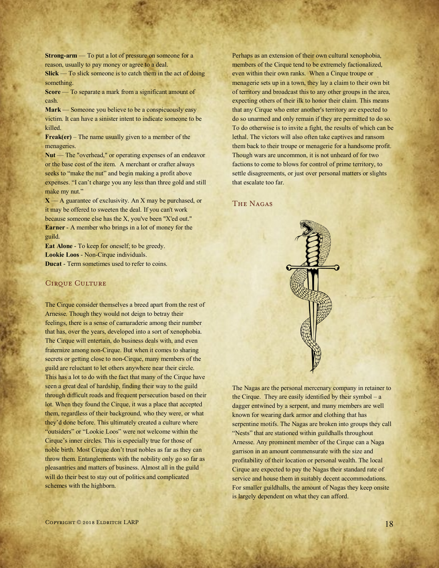**Strong-arm** — To put a lot of pressure on someone for a reason, usually to pay money or agree to a deal.

**Slick** — To slick someone is to catch them in the act of doing something.

**Score** — To separate a mark from a significant amount of cash.

**Mark** — Someone you believe to be a conspicuously easy victim. It can have a sinister intent to indicate someone to be killed.

**Freak(er)** – The name usually given to a member of the menageries.

Nut — The "overhead," or operating expenses of an endeavor or the base cost of the item. A merchant or crafter always seeks to "make the nut" and begin making a profit above expenses. "I can't charge you any less than three gold and still make my nut."

 $X - A$  guarantee of exclusivity. An X may be purchased, or it may be offered to sweeten the deal. If you can't work because someone else has the X, you've been "X'ed out." **Earner** - A member who brings in a lot of money for the guild.

**Eat Alone** - To keep for oneself; to be greedy. **Lookie Loos** - Non-Cirque individuals. **Ducat** - Term sometimes used to refer to coins.

#### CIRQUE CULTURE

The Cirque consider themselves a breed apart from the rest of Arnesse. Though they would not deign to betray their feelings, there is a sense of camaraderie among their number that has, over the years, developed into a sort of xenophobia. The Cirque will entertain, do business deals with, and even fraternize among non-Cirque. But when it comes to sharing secrets or getting close to non-Cirque, many members of the guild are reluctant to let others anywhere near their circle. This has a lot to do with the fact that many of the Cirque have seen a great deal of hardship, finding their way to the guild through difficult roads and frequent persecution based on their lot. When they found the Cirque, it was a place that accepted them, regardless of their background, who they were, or what they'd done before. This ultimately created a culture where "outsiders" or "Lookie Loos" were not welcome within the Cirque's inner circles. This is especially true for those of noble birth. Most Cirque don't trust nobles as far as they can throw them. Entanglements with the nobility only go so far as pleasantries and matters of business. Almost all in the guild will do their best to stay out of politics and complicated schemes with the highborn.

Perhaps as an extension of their own cultural xenophobia, members of the Cirque tend to be extremely factionalized, even within their own ranks. When a Cirque troupe or menagerie sets up in a town, they lay a claim to their own bit of territory and broadcast this to any other groups in the area, expecting others of their ilk to honor their claim. This means that any Cirque who enter another's territory are expected to do so unarmed and only remain if they are permitted to do so. To do otherwise is to invite a fight, the results of which can be lethal. The victors will also often take captives and ransom them back to their troupe or menagerie for a handsome profit. Though wars are uncommon, it is not unheard of for two factions to come to blows for control of prime territory, to settle disagreements, or just over personal matters or slights that escalate too far.

#### The Nagas



The Nagas are the personal mercenary company in retainer to the Cirque. They are easily identified by their symbol  $-a$ dagger entwined by a serpent, and many members are well known for wearing dark armor and clothing that has serpentine motifs. The Nagas are broken into groups they call "Nests" that are stationed within guildhalls throughout Arnesse. Any prominent member of the Cirque can a Naga garrison in an amount commensurate with the size and profitability of their location or personal wealth. The local Cirque are expected to pay the Nagas their standard rate of service and house them in suitably decent accommodations. For smaller guildhalls, the amount of Nagas they keep onsite is largely dependent on what they can afford.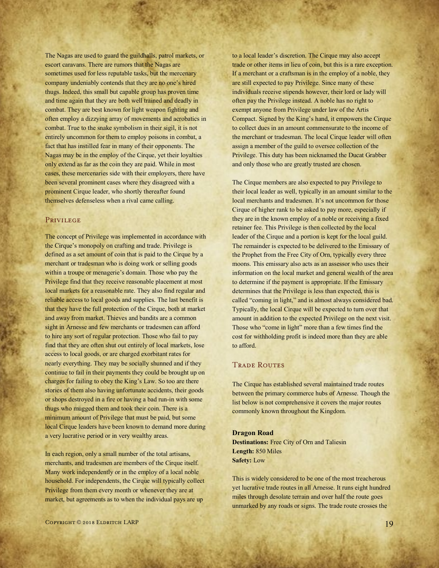The Nagas are used to guard the guildhalls, patrol markets, or escort caravans. There are rumors that the Nagas are sometimes used for less reputable tasks, but the mercenary company undeniably contends that they are no one's hired thugs. Indeed, this small but capable group has proven time and time again that they are both well trained and deadly in combat. They are best known for light weapon fighting and often employ a dizzying array of movements and acrobatics in combat. True to the snake symbolism in their sigil, it is not entirely uncommon for them to employ poisons in combat, a fact that has instilled fear in many of their opponents. The Nagas may be in the employ of the Cirque, yet their loyalties only extend as far as the coin they are paid. While in most cases, these mercenaries side with their employers, there have been several prominent cases where they disagreed with a prominent Cirque leader, who shortly thereafter found themselves defenseless when a rival came calling.

#### PRIVILEGE

The concept of Privilege was implemented in accordance with the Cirque's monopoly on crafting and trade. Privilege is defined as a set amount of coin that is paid to the Cirque by a merchant or tradesman who is doing work or selling goods within a troupe or menagerie's domain. Those who pay the Privilege find that they receive reasonable placement at most local markets for a reasonable rate. They also find regular and reliable access to local goods and supplies. The last benefit is that they have the full protection of the Cirque, both at market and away from market. Thieves and bandits are a common sight in Arnesse and few merchants or tradesmen can afford to hire any sort of regular protection. Those who fail to pay find that they are often shut out entirely of local markets, lose access to local goods, or are charged exorbitant rates for nearly everything. They may be socially shunned and if they continue to fail in their payments they could be brought up on charges for failing to obey the King's Law. So too are there stories of them also having unfortunate accidents, their goods or shops destroyed in a fire or having a bad run-in with some thugs who mugged them and took their coin. There is a minimum amount of Privilege that must be paid, but some local Cirque leaders have been known to demand more during a very lucrative period or in very wealthy areas.

In each region, only a small number of the total artisans, merchants, and tradesmen are members of the Cirque itself. Many work independently or in the employ of a local noble household. For independents, the Cirque will typically collect Privilege from them every month or whenever they are at market, but agreements as to when the individual pays are up

to a local leader's discretion. The Cirque may also accept trade or other items in lieu of coin, but this is a rare exception. If a merchant or a craftsman is in the employ of a noble, they are still expected to pay Privilege. Since many of these individuals receive stipends however, their lord or lady will often pay the Privilege instead. A noble has no right to exempt anyone from Privilege under law of the Artis Compact. Signed by the King's hand, it empowers the Cirque to collect dues in an amount commensurate to the income of the merchant or tradesman. The local Cirque leader will often assign a member of the guild to oversee collection of the Privilege. This duty has been nicknamed the Ducat Grabber and only those who are greatly trusted are chosen.

The Cirque members are also expected to pay Privilege to their local leader as well, typically in an amount similar to the local merchants and tradesmen. It's not uncommon for those Cirque of higher rank to be asked to pay more, especially if they are in the known employ of a noble or receiving a fixed retainer fee. This Privilege is then collected by the local leader of the Cirque and a portion is kept for the local guild. The remainder is expected to be delivered to the Emissary of the Prophet from the Free City of Orn, typically every three moons. This emissary also acts as an assessor who uses their information on the local market and general wealth of the area to determine if the payment is appropriate. If the Emissary determines that the Privilege is less than expected, this is called "coming in light," and is almost always considered bad. Typically, the local Cirque will be expected to turn over that amount in addition to the expected Privilege on the next visit. Those who "come in light" more than a few times find the cost for withholding profit is indeed more than they are able to afford.

#### **TRADE ROUTES**

The Cirque has established several maintained trade routes between the primary commerce hubs of Arnesse. Though the list below is not comprehensive it covers the major routes commonly known throughout the Kingdom.

#### **Dragon Road**

**Destinations:** Free City of Orn and Taliesin **Length:** 850 Miles **Safety:** Low

This is widely considered to be one of the most treacherous yet lucrative trade routes in all Arnesse. It runs eight hundred miles through desolate terrain and over half the route goes unmarked by any roads or signs. The trade route crosses the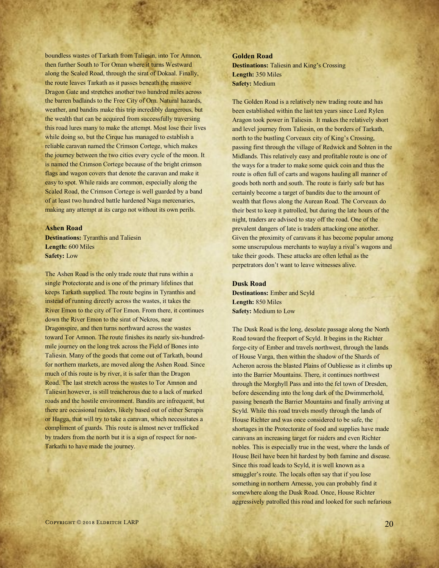boundless wastes of Tarkath from Taliesin, into Tor Amnon, then further South to Tor Oman where it turns Westward along the Scaled Road, through the sirat of Dokaal. Finally, the route leaves Tarkath as it passes beneath the massive Dragon Gate and stretches another two hundred miles across the barren badlands to the Free City of Orn. Natural hazards, weather, and bandits make this trip incredibly dangerous, but the wealth that can be acquired from successfully traversing this road lures many to make the attempt. Most lose their lives while doing so, but the Cirque has managed to establish a reliable caravan named the Crimson Cortege, which makes the journey between the two cities every cycle of the moon. It is named the Crimson Cortege because of the bright crimson flags and wagon covers that denote the caravan and make it easy to spot. While raids are common, especially along the Scaled Road, the Crimson Cortege is well guarded by a band of at least two hundred battle hardened Naga mercenaries, making any attempt at its cargo not without its own perils.

#### **Ashen Road**

**Destinations:** Tyranthis and Taliesin **Length:** 600 Miles **Safety:** Low

The Ashen Road is the only trade route that runs within a single Protectorate and is one of the primary lifelines that keeps Tarkath supplied. The route begins in Tyranthis and instead of running directly across the wastes, it takes the River Emon to the city of Tor Emon. From there, it continues down the River Emon to the sirat of Nekros, near Dragonspire, and then turns northward across the wastes toward Tor Amnon. The route finishes its nearly six-hundredmile journey on the long trek across the Field of Bones into Taliesin. Many of the goods that come out of Tarkath, bound for northern markets, are moved along the Ashen Road. Since much of this route is by river, it is safer than the Dragon Road. The last stretch across the wastes to Tor Amnon and Taliesin however, is still treacherous due to a lack of marked roads and the hostile environment. Bandits are infrequent, but there are occasional raiders, likely based out of either Serapis or Hagga, that will try to take a caravan, which necessitates a compliment of guards. This route is almost never trafficked by traders from the north but it is a sign of respect for non-Tarkathi to have made the journey.

#### **Golden Road**

**Destinations:** Taliesin and King's Crossing **Length:** 350 Miles **Safety:** Medium

The Golden Road is a relatively new trading route and has been established within the last ten years since Lord Rylen Aragon took power in Taliesin. It makes the relatively short and level journey from Taliesin, on the borders of Tarkath, north to the bustling Corveaux city of King's Crossing, passing first through the village of Redwick and Sohten in the Midlands. This relatively easy and profitable route is one of the ways for a trader to make some quick coin and thus the route is often full of carts and wagons hauling all manner of goods both north and south. The route is fairly safe but has certainly become a target of bandits due to the amount of wealth that flows along the Aurean Road. The Corveaux do their best to keep it patrolled, but during the late hours of the night, traders are advised to stay off the road. One of the prevalent dangers of late is traders attacking one another. Given the proximity of caravans it has become popular among some unscrupulous merchants to waylay a rival's wagons and take their goods. These attacks are often lethal as the perpetrators don't want to leave witnesses alive.

#### **Dusk Road**

**Destinations:** Ember and Scyld **Length:** 850 Miles **Safety:** Medium to Low

The Dusk Road is the long, desolate passage along the North Road toward the freeport of Scyld. It begins in the Richter forge-city of Ember and travels northwest, through the lands of House Varga, then within the shadow of the Shards of Acheron across the blasted Plains of Oubliesse as it climbs up into the Barrier Mountains. There, it continues northwest through the Morghyll Pass and into the fel town of Dresden, before descending into the long dark of the Dwimmerhold, passing beneath the Barrier Mountains and finally arriving at Scyld. While this road travels mostly through the lands of House Richter and was once considered to be safe, the shortages in the Protectorate of food and supplies have made caravans an increasing target for raiders and even Richter nobles. This is especially true in the west, where the lands of House Beil have been hit hardest by both famine and disease. Since this road leads to Scyld, it is well known as a smuggler's route. The locals often say that if you lose something in northern Arnesse, you can probably find it somewhere along the Dusk Road. Once, House Richter aggressively patrolled this road and looked for such nefarious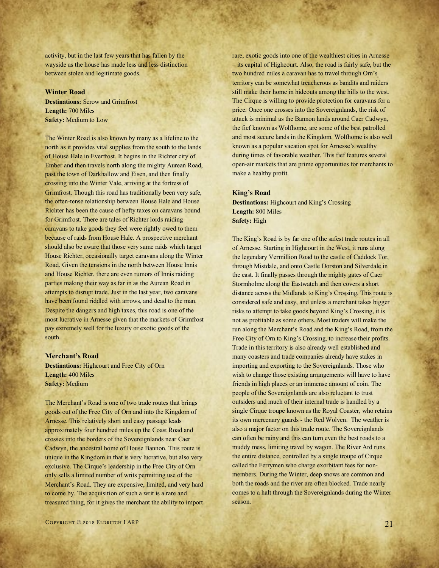activity, but in the last few years that has fallen by the wayside as the house has made less and less distinction between stolen and legitimate goods.

#### **Winter Road**

**Destinations:** Scrow and Grimfrost **Length:** 700 Miles **Safety:** Medium to Low

The Winter Road is also known by many as a lifeline to the north as it provides vital supplies from the south to the lands of House Hale in Everfrost. It begins in the Richter city of Ember and then travels north along the mighty Aurean Road, past the town of Darkhallow and Eisen, and then finally crossing into the Winter Vale, arriving at the fortress of Grimfrost. Though this road has traditionally been very safe, the often-tense relationship between House Hale and House Richter has been the cause of hefty taxes on caravans bound for Grimfrost. There are tales of Richter lords raiding caravans to take goods they feel were rightly owed to them because of raids from House Hale. A prospective merchant should also be aware that those very same raids which target House Richter, occasionally target caravans along the Winter Road. Given the tensions in the north between House Innis and House Richter, there are even rumors of Innis raiding parties making their way as far in as the Aurean Road in attempts to disrupt trade. Just in the last year, two caravans have been found riddled with arrows, and dead to the man. Despite the dangers and high taxes, this road is one of the most lucrative in Arnesse given that the markets of Grimfrost pay extremely well for the luxury or exotic goods of the south.

#### **Merchant's Road**

**Destinations:** Highcourt and Free City of Orn **Length:** 400 Miles **Safety:** Medium

The Merchant's Road is one of two trade routes that brings goods out of the Free City of Orn and into the Kingdom of Arnesse. This relatively short and easy passage leads approximately four hundred miles up the Coast Road and crosses into the borders of the Sovereignlands near Caer Cadwyn, the ancestral home of House Bannon. This route is unique in the Kingdom in that is very lucrative, but also very exclusive. The Cirque's leadership in the Free City of Orn only sells a limited number of writs permitting use of the Merchant's Road. They are expensive, limited, and very hard to come by. The acquisition of such a writ is a rare and treasured thing, for it gives the merchant the ability to import rare, exotic goods into one of the wealthiest cities in Arnesse – its capital of Highcourt. Also, the road is fairly safe, but the two hundred miles a caravan has to travel through Orn's territory can be somewhat treacherous as bandits and raiders still make their home in hideouts among the hills to the west. The Cirque is willing to provide protection for caravans for a price. Once one crosses into the Sovereignlands, the risk of attack is minimal as the Bannon lands around Caer Cadwyn, the fief known as Wolfhome, are some of the best patrolled and most secure lands in the Kingdom. Wolfhome is also well known as a popular vacation spot for Arnesse's wealthy during times of favorable weather. This fief features several open-air markets that are prime opportunities for merchants to make a healthy profit.

#### **King's Road**

**Destinations:** Highcourt and King's Crossing **Length:** 800 Miles **Safety:** High

The King's Road is by far one of the safest trade routes in all of Arnesse. Starting in Highcourt in the West, it runs along the legendary Vermillion Road to the castle of Caddock Tor, through Mistdale, and onto Castle Dorston and Silverdale in the east. It finally passes through the mighty gates of Caer Stormholme along the Eastwatch and then covers a short distance across the Midlands to King's Crossing. This route is considered safe and easy, and unless a merchant takes bigger risks to attempt to take goods beyond King's Crossing, it is not as profitable as some others. Most traders will make the run along the Merchant's Road and the King's Road, from the Free City of Orn to King's Crossing, to increase their profits. Trade in this territory is also already well established and many coasters and trade companies already have stakes in importing and exporting to the Sovereignlands. Those who wish to change those existing arrangements will have to have friends in high places or an immense amount of coin. The people of the Sovereignlands are also reluctant to trust outsiders and much of their internal trade is handled by a single Cirque troupe known as the Royal Coaster, who retains its own mercenary guards - the Red Wolven. The weather is also a major factor on this trade route. The Sovereignlands can often be rainy and this can turn even the best roads to a muddy mess, limiting travel by wagon. The River Ard runs the entire distance, controlled by a single troupe of Cirque called the Ferrymen who charge exorbitant fees for nonmembers. During the Winter, deep snows are common and both the roads and the river are often blocked. Trade nearly comes to a halt through the Sovereignlands during the Winter season.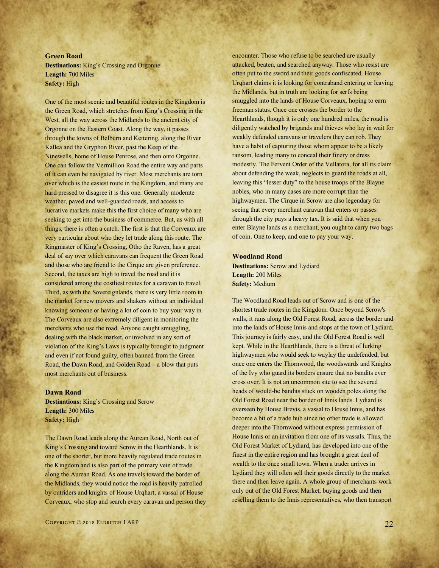#### **Green Road**

**Destinations:** King's Crossing and Orgonne **Length:** 700 Miles **Safety:** High

One of the most scenic and beautiful routes in the Kingdom is the Green Road, which stretches from King's Crossing in the West, all the way across the Midlands to the ancient city of Orgonne on the Eastern Coast. Along the way, it passes through the towns of Belburn and Kettering, along the River Kallea and the Gryphon River, past the Keep of the Ninewells, home of House Penrose, and then onto Orgonne. One can follow the Vermillion Road the entire way and parts of it can even be navigated by river. Most merchants are torn over which is the easiest route in the Kingdom, and many are hard pressed to disagree it is this one. Generally moderate weather, paved and well-guarded roads, and access to lucrative markets make this the first choice of many who are seeking to get into the business of commerce. But, as with all things, there is often a catch. The first is that the Corveaux are very particular about who they let trade along this route. The Ringmaster of King's Crossing, Otho the Raven, has a great deal of say over which caravans can frequent the Green Road and those who are friend to the Cirque are given preference. Second, the taxes are high to travel the road and it is considered among the costliest routes for a caravan to travel. Third, as with the Sovereignlands, there is very little room in the market for new movers and shakers without an individual knowing someone or having a lot of coin to buy your way in. The Corveaux are also extremely diligent in monitoring the merchants who use the road. Anyone caught smuggling, dealing with the black market, or involved in any sort of violation of the King's Laws is typically brought to judgment and even if not found guilty, often banned from the Green Road, the Dawn Road, and Golden Road – a blow that puts most merchants out of business.

#### **Dawn Road**

**Destinations:** King's Crossing and Scrow **Length:** 300 Miles **Safety:** High

The Dawn Road leads along the Aurean Road, North out of King's Crossing and toward Scrow in the Hearthlands. It is one of the shorter, but more heavily regulated trade routes in the Kingdom and is also part of the primary vein of trade along the Aurean Road. As one travels toward the border of the Midlands, they would notice the road is heavily patrolled by outriders and knights of House Urqhart, a vassal of House Corveaux, who stop and search every caravan and person they encounter. Those who refuse to be searched are usually attacked, beaten, and searched anyway. Those who resist are often put to the sword and their goods confiscated. House Urqhart claims it is looking for contraband entering or leaving the Midlands, but in truth are looking for serfs being smuggled into the lands of House Corveaux, hoping to earn freeman status. Once one crosses the border to the Hearthlands, though it is only one hundred miles, the road is diligently watched by brigands and thieves who lay in wait for weakly defended caravans or travelers they can rob. They have a habit of capturing those whom appear to be a likely ransom, leading many to conceal their finery or dress modestly. The Fervent Order of the Vellatora, for all its claim about defending the weak, neglects to guard the roads at all, leaving this "lesser duty" to the house troops of the Blayne nobles, who in many cases are more corrupt than the highwaymen. The Cirque in Scrow are also legendary for seeing that every merchant caravan that enters or passes through the city pays a heavy tax. It is said that when you enter Blayne lands as a merchant, you ought to carry two bags of coin. One to keep, and one to pay your way.

#### **Woodland Road**

**Destinations:** Scrow and Lydiard **Length:** 200 Miles **Safety:** Medium

The Woodland Road leads out of Scrow and is one of the shortest trade routes in the Kingdom. Once beyond Scrow's walls, it runs along the Old Forest Road, across the border and into the lands of House Innis and stops at the town of Lydiard. This journey is fairly easy, and the Old Forest Road is well kept. While in the Hearthlands, there is a threat of lurking highwaymen who would seek to waylay the undefended, but once one enters the Thornwood, the woodswards and Knights of the Ivy who guard its borders ensure that no bandits ever cross over. It is not an uncommon site to see the severed heads of would-be bandits stuck on wooden poles along the Old Forest Road near the border of Innis lands. Lydiard is overseen by House Brevis, a vassal to House Innis, and has become a bit of a trade hub since no other trade is allowed deeper into the Thornwood without express permission of House Innis or an invitation from one of its vassals. Thus, the Old Forest Market of Lydiard, has developed into one of the finest in the entire region and has brought a great deal of wealth to the once small town. When a trader arrives in Lydiard they will often sell their goods directly to the market there and then leave again. A whole group of merchants work only out of the Old Forest Market, buying goods and then reselling them to the Innis representatives, who then transport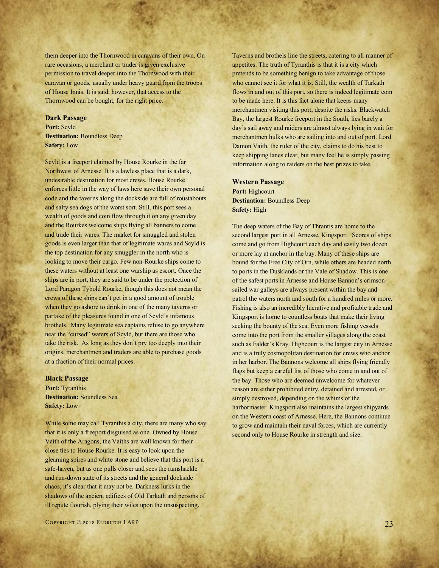them deeper into the Thornwood in caravans of their own. On rare occasions, a merchant or trader is given exclusive permission to travel deeper into the Thornwood with their caravan or goods, usually under heavy guard from the troops of House Innis. It is said, however, that access to the Thornwood can be bought, for the right price.

#### **Dark Passage**

**Port:** Scyld **Destination:** Boundless Deep **Safety:** Low

Scyld is a freeport claimed by House Rourke in the far Northwest of Arnesse. It is a lawless place that is a dark, undesirable destination for most crews. House Rourke enforces little in the way of laws here save their own personal code and the taverns along the dockside are full of roustabouts and salty sea dogs of the worst sort. Still, this port sees a wealth of goods and coin flow through it on any given day and the Rourkes welcome ships flying all banners to come and trade their wares. The market for smuggled and stolen goods is even larger than that of legitimate wares and Scyld is the top destination for any smuggler in the north who is looking to move their cargo. Few non-Rourke ships come to these waters without at least one warship as escort. Once the ships are in port, they are said to be under the protection of Lord Paragon Tybold Rourke, though this does not mean the crews of these ships can't get in a good amount of trouble when they go ashore to drink in one of the many taverns or partake of the pleasures found in one of Scyld's infamous brothels. Many legitimate sea captains refuse to go anywhere near the "cursed" waters of Scyld, but there are those who take the risk. As long as they don't pry too deeply into their origins, merchantmen and traders are able to purchase goods at a fraction of their normal prices.

#### **Black Passage**

**Port:** Tyranthis **Destination:** Soundless Sea **Safety:** Low

While some may call Tyranthis a city, there are many who say that it is only a freeport disguised as one. Owned by House Vaith of the Aragons, the Vaiths are well known for their close ties to House Rourke. It is easy to look upon the gleaming spires and white stone and believe that this port is a safe-haven, but as one pulls closer and sees the ramshackle and run-down state of its streets and the general dockside chaos, it's clear that it may not be. Darkness lurks in the shadows of the ancient edifices of Old Tarkath and persons of ill repute flourish, plying their wiles upon the unsuspecting.

Taverns and brothels line the streets, catering to all manner of appetites. The truth of Tyranthis is that it is a city which pretends to be something benign to take advantage of those who cannot see it for what it is. Still, the wealth of Tarkath flows in and out of this port, so there is indeed legitimate coin to be made here. It is this fact alone that keeps many merchantmen visiting this port, despite the risks. Blackwatch Bay, the largest Rourke freeport in the South, lies barely a day's sail away and raiders are almost always lying in wait for merchantmen hulks who are sailing into and out of port. Lord Damon Vaith, the ruler of the city, claims to do his best to keep shipping lanes clear, but many feel he is simply passing information along to raiders on the best prizes to take.

#### **Western Passage**

**Port:** Highcourt **Destination:** Boundless Deep **Safety:** High

The deep waters of the Bay of Thrantis are home to the second largest port in all Arnesse, Kingsport. Scores of ships come and go from Highcourt each day and easily two dozen or more lay at anchor in the bay. Many of these ships are bound for the Free City of Orn, while others are headed north to ports in the Dusklands or the Vale of Shadow. This is one of the safest ports in Arnesse and House Bannon's crimsonsailed war galleys are always present within the bay and patrol the waters north and south for a hundred miles or more. Fishing is also an incredibly lucrative and profitable trade and Kingsport is home to countless boats that make their living seeking the bounty of the sea. Even more fishing vessels come into the port from the smaller villages along the coast such as Falder's Kray. Highcourt is the largest city in Arnesse and is a truly cosmopolitan destination for crews who anchor in her harbor. The Bannons welcome all ships flying friendly flags but keep a careful list of those who come in and out of the bay. Those who are deemed unwelcome for whatever reason are either prohibited entry, detained and arrested, or simply destroyed, depending on the whims of the harbormaster. Kingsport also maintains the largest shipyards on the Western coast of Arnesse. Here, the Bannons continue to grow and maintain their naval forces, which are currently second only to House Rourke in strength and size.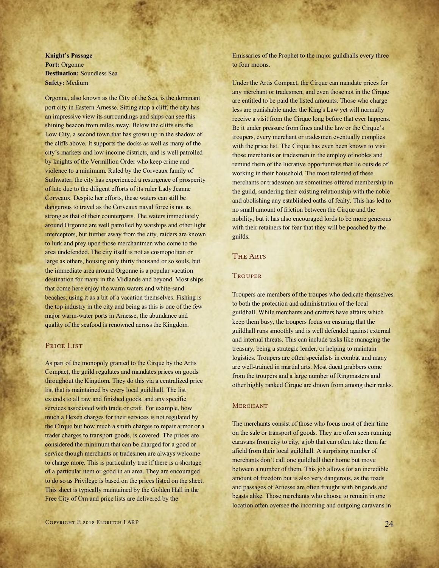**Knight's Passage Port:** Orgonne **Destination:** Soundless Sea **Safety:** Medium

Orgonne, also known as the City of the Sea, is the dominant port city in Eastern Arnesse. Sitting atop a cliff, the city has an impressive view its surroundings and ships can see this shining beacon from miles away. Below the cliffs sits the Low City, a second town that has grown up in the shadow of the cliffs above. It supports the docks as well as many of the city's markets and low-income districts, and is well patrolled by knights of the Vermillion Order who keep crime and violence to a minimum. Ruled by the Corveaux family of Suthwater, the city has experienced a resurgence of prosperity of late due to the diligent efforts of its ruler Lady Jeanne Corveaux. Despite her efforts, these waters can still be dangerous to travel as the Corveaux naval force is not as strong as that of their counterparts. The waters immediately around Orgonne are well patrolled by warships and other light interceptors, but further away from the city, raiders are known to lurk and prey upon those merchantmen who come to the area undefended. The city itself is not as cosmopolitan or large as others, housing only thirty thousand or so souls, but the immediate area around Orgonne is a popular vacation destination for many in the Midlands and beyond. Most ships that come here enjoy the warm waters and white-sand beaches, using it as a bit of a vacation themselves. Fishing is the top industry in the city and being as this is one of the few major warm-water ports in Arnesse, the abundance and quality of the seafood is renowned across the Kingdom.

#### PRICE LIST

As part of the monopoly granted to the Cirque by the Artis Compact, the guild regulates and mandates prices on goods throughout the Kingdom. They do this via a centralized price list that is maintained by every local guildhall. The list extends to all raw and finished goods, and any specific services associated with trade or craft. For example, how much a Hexen charges for their services is not regulated by the Cirque but how much a smith charges to repair armor or a trader charges to transport goods, is covered. The prices are considered the minimum that can be charged for a good or service though merchants or tradesmen are always welcome to charge more. This is particularly true if there is a shortage of a particular item or good in an area. They are encouraged to do so as Privilege is based on the prices listed on the sheet. This sheet is typically maintained by the Golden Hall in the Free City of Orn and price lists are delivered by the

Emissaries of the Prophet to the major guildhalls every three to four moons.

Under the Artis Compact, the Cirque can mandate prices for any merchant or tradesmen, and even those not in the Cirque are entitled to be paid the listed amounts. Those who charge less are punishable under the King's Law yet will normally receive a visit from the Cirque long before that ever happens. Be it under pressure from fines and the law or the Cirque's troupers, every merchant or tradesmen eventually complies with the price list. The Cirque has even been known to visit those merchants or tradesmen in the employ of nobles and remind them of the lucrative opportunities that lie outside of working in their household. The most talented of these merchants or tradesmen are sometimes offered membership in the guild, sundering their existing relationship with the noble and abolishing any established oaths of fealty. This has led to no small amount of friction between the Cirque and the nobility, but it has also encouraged lords to be more generous with their retainers for fear that they will be poached by the guilds.

#### THE ARTS

#### **TROUPER**

Troupers are members of the troupes who dedicate themselves to both the protection and administration of the local guildhall. While merchants and crafters have affairs which keep them busy, the troupers focus on ensuring that the guildhall runs smoothly and is well defended against external and internal threats. This can include tasks like managing the treasury, being a strategic leader, or helping to maintain logistics. Troupers are often specialists in combat and many are well-trained in martial arts. Most ducat grabbers come from the troupers and a large number of Ringmasters and other highly ranked Cirque are drawn from among their ranks.

#### **MERCHANT**

The merchants consist of those who focus most of their time on the sale or transport of goods. They are often seen running caravans from city to city, a job that can often take them far afield from their local guildhall. A surprising number of merchants don't call one guildhall their home but move between a number of them. This job allows for an incredible amount of freedom but is also very dangerous, as the roads and passages of Arnesse are often fraught with brigands and beasts alike. Those merchants who choose to remain in one location often oversee the incoming and outgoing caravans in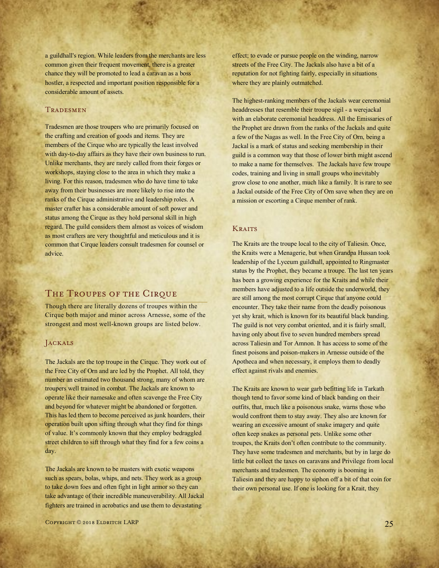a guildhall's region. While leaders from the merchants are less common given their frequent movement, there is a greater chance they will be promoted to lead a caravan as a boss hostler, a respected and important position responsible for a considerable amount of assets.

#### **TRADESMEN**

Tradesmen are those troupers who are primarily focused on the crafting and creation of goods and items. They are members of the Cirque who are typically the least involved with day-to-day affairs as they have their own business to run. Unlike merchants, they are rarely called from their forges or workshops, staying close to the area in which they make a living. For this reason, tradesmen who do have time to take away from their businesses are more likely to rise into the ranks of the Cirque administrative and leadership roles. A master crafter has a considerable amount of soft power and status among the Cirque as they hold personal skill in high regard. The guild considers them almost as voices of wisdom as most crafters are very thoughtful and meticulous and it is common that Cirque leaders consult tradesmen for counsel or advice.

#### THE TROUPES OF THE CIRQUE

Though there are literally dozens of troupes within the Cirque both major and minor across Arnesse, some of the strongest and most well-known groups are listed below.

#### Jackals

The Jackals are the top troupe in the Cirque. They work out of the Free City of Orn and are led by the Prophet. All told, they number an estimated two thousand strong, many of whom are troupers well trained in combat. The Jackals are known to operate like their namesake and often scavenge the Free City and beyond for whatever might be abandoned or forgotten. This has led them to become perceived as junk hoarders, their operation built upon sifting through what they find for things of value. It's commonly known that they employ bedraggled street children to sift through what they find for a few coins a day.

The Jackals are known to be masters with exotic weapons such as spears, bolas, whips, and nets. They work as a group to take down foes and often fight in light armor so they can take advantage of their incredible maneuverability. All Jackal fighters are trained in acrobatics and use them to devastating

Copyright © 2018 Eldritch LARP 25

effect; to evade or pursue people on the winding, narrow streets of the Free City. The Jackals also have a bit of a reputation for not fighting fairly, especially in situations where they are plainly outmatched.

The highest-ranking members of the Jackals wear ceremonial headdresses that resemble their troupe sigil - a werejackal with an elaborate ceremonial headdress. All the Emissaries of the Prophet are drawn from the ranks of the Jackals and quite a few of the Nagas as well. In the Free City of Orn, being a Jackal is a mark of status and seeking membership in their guild is a common way that those of lower birth might ascend to make a name for themselves. The Jackals have few troupe codes, training and living in small groups who inevitably grow close to one another, much like a family. It is rare to see a Jackal outside of the Free City of Orn save when they are on a mission or escorting a Cirque member of rank.

#### **KRAITS**

The Kraits are the troupe local to the city of Taliesin. Once, the Kraits were a Menagerie, but when Grandpa Hussan took leadership of the Lyceum guildhall, appointed to Ringmaster status by the Prophet, they became a troupe. The last ten years has been a growing experience for the Kraits and while their members have adjusted to a life outside the underworld, they are still among the most corrupt Cirque that anyone could encounter. They take their name from the deadly poisonous yet shy krait, which is known for its beautiful black banding. The guild is not very combat oriented, and it is fairly small, having only about five to seven hundred members spread across Taliesin and Tor Amnon. It has access to some of the finest poisons and poison-makers in Arnesse outside of the Apotheca and when necessary, it employs them to deadly effect against rivals and enemies.

The Kraits are known to wear garb befitting life in Tarkath though tend to favor some kind of black banding on their outfits, that, much like a poisonous snake, warns those who would confront them to stay away. They also are known for wearing an excessive amount of snake imagery and quite often keep snakes as personal pets. Unlike some other troupes, the Kraits don't often contribute to the community. They have some tradesmen and merchants, but by in large do little but collect the taxes on caravans and Privilege from local merchants and tradesmen. The economy is booming in Taliesin and they are happy to siphon off a bit of that coin for their own personal use. If one is looking for a Krait, they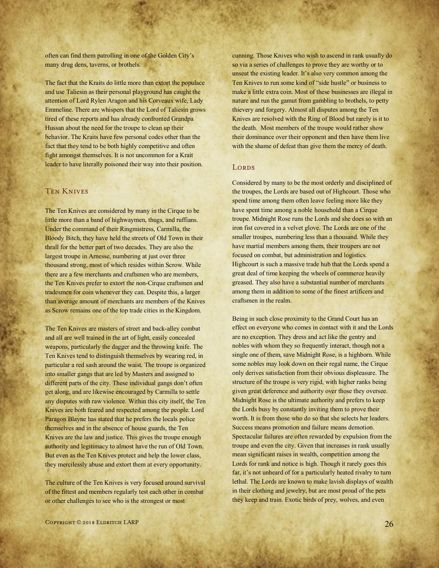often can find them patrolling in one of the Golden City's many drug dens, taverns, or brothels.

The fact that the Kraits do little more than extort the populace and use Taliesin as their personal playground has caught the attention of Lord Rylen Aragon and his Corveaux wife, Lady Emmeline. There are whispers that the Lord of Taliesin grows tired of these reports and has already confronted Grandpa Hussan about the need for the troupe to clean up their behavior. The Kraits have few personal codes other than the fact that they tend to be both highly competitive and often fight amongst themselves. It is not uncommon for a Krait leader to have literally poisoned their way into their position.

#### Ten Knives

The Ten Knives are considered by many in the Cirque to be little more than a band of highwaymen, thugs, and ruffians. Under the command of their Ringmistress, Carmilla, the Bloody Bitch, they have held the streets of Old Town in their thrall for the better part of two decades. They are also the largest troupe in Arnesse, numbering at just over three thousand strong, most of which resides within Scrow. While there are a few merchants and craftsmen who are members, the Ten Knives prefer to extort the non-Cirque craftsmen and tradesmen for coin whenever they can. Despite this, a larger than average amount of merchants are members of the Knives as Scrow remains one of the top trade cities in the Kingdom.

The Ten Knives are masters of street and back-alley combat and all are well trained in the art of light, easily concealed weapons, particularly the dagger and the throwing knife. The Ten Knives tend to distinguish themselves by wearing red, in particular a red sash around the waist. The troupe is organized into smaller gangs that are led by Masters and assigned to different parts of the city. These individual gangs don't often get along, and are likewise encouraged by Carmilla to settle any disputes with raw violence. Within this city itself, the Ten Knives are both feared and respected among the people. Lord Paragon Blayne has stated that he prefers the locals police themselves and in the absence of house guards, the Ten Knives are the law and justice. This gives the troupe enough authority and legitimacy to almost have the run of Old Town. But even as the Ten Knives protect and help the lower class, they mercilessly abuse and extort them at every opportunity.

The culture of the Ten Knives is very focused around survival of the fittest and members regularly test each other in combat or other challenges to see who is the strongest or most

cunning. Those Knives who wish to ascend in rank usually do so via a series of challenges to prove they are worthy or to unseat the existing leader. It's also very common among the Ten Knives to run some kind of "side hustle" or business to make a little extra coin. Most of these businesses are illegal in nature and run the gamut from gambling to brothels, to petty thievery and forgery. Almost all disputes among the Ten Knives are resolved with the Ring of Blood but rarely is it to the death. Most members of the troupe would rather show their dominance over their opponent and then have them live with the shame of defeat than give them the mercy of death.

#### LORDS

Considered by many to be the most orderly and disciplined of the troupes, the Lords are based out of Highcourt. Those who spend time among them often leave feeling more like they have spent time among a noble household than a Cirque troupe. Midnight Rose runs the Lords and she does so with an iron fist covered in a velvet glove. The Lords are one of the smaller troupes, numbering less than a thousand. While they have martial members among them, their troupers are not focused on combat, but administration and logistics. Highcourt is such a massive trade hub that the Lords spend a great deal of time keeping the wheels of commerce heavily greased. They also have a substantial number of merchants among them in addition to some of the finest artificers and craftsmen in the realm.

Being in such close proximity to the Grand Court has an effect on everyone who comes in contact with it and the Lords are no exception. They dress and act like the gentry and nobles with whom they so frequently interact, though not a single one of them, save Midnight Rose, is a highborn. While some nobles may look down on their regal name, the Cirque only derives satisfaction from their obvious displeasure. The structure of the troupe is very rigid, with higher ranks being given great deference and authority over those they oversee. Midnight Rose is the ultimate authority and prefers to keep the Lords busy by constantly inviting them to prove their worth. It is from those who do so that she selects her leaders. Success means promotion and failure means demotion. Spectacular failures are often rewarded by expulsion from the troupe and even the city. Given that increases in rank usually mean significant raises in wealth, competition among the Lords for rank and notice is high. Though it rarely goes this far, it's not unheard of for a particularly heated rivalry to turn lethal. The Lords are known to make lavish displays of wealth in their clothing and jewelry, but are most proud of the pets they keep and train. Exotic birds of prey, wolves, and even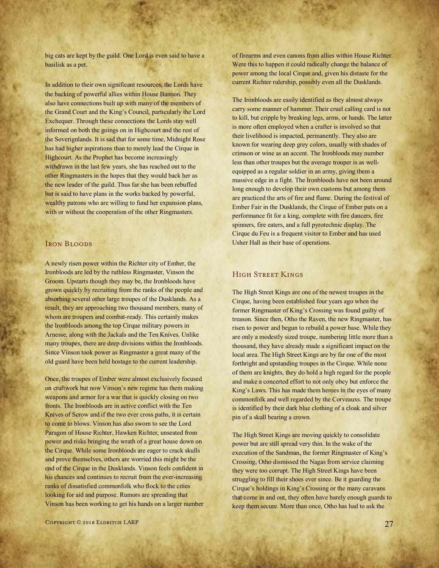big cats are kept by the guild. One Lord is even said to have a basilisk as a pet.

In addition to their own significant resources, the Lords have the backing of powerful allies within House Bannon. They also have connections built up with many of the members of the Grand Court and the King's Council, particularly the Lord Exchequer. Through these connections the Lords stay well informed on both the goings on in Highcourt and the rest of the Soverignlands. It is sad that for some time, Midnight Rose has had higher aspirations than to merely lead the Cirque in Highcourt. As the Prophet has become increasingly withdrawn in the last few years, she has reached out to the other Ringmasters in the hopes that they would back her as the new leader of the guild. Thus far she has been rebuffed but is said to have plans in the works backed by powerful, wealthy patrons who are willing to fund her expansion plans, with or without the cooperation of the other Ringmasters.

#### IRON BLOODS

A newly risen power within the Richter city of Ember, the Ironbloods are led by the ruthless Ringmaster, Vinson the Groom. Upstarts though they may be, the Ironbloods have grown quickly by recruiting from the ranks of the people and absorbing several other large troupes of the Dusklands. As a result, they are approaching two thousand members, many of whom are troupers and combat-ready. This certainly makes the Ironbloods among the top Cirque military powers in Arnesse, along with the Jackals and the Ten Knives. Unlike many troupes, there are deep divisions within the Ironbloods. Since Vinson took power as Ringmaster a great many of the old guard have been held hostage to the current leadership.

Once, the troupes of Ember were almost exclusively focused on craftwork but now Vinson's new regime has them making weapons and armor for a war that is quickly closing on two fronts. The Ironbloods are in active conflict with the Ten Knives of Scrow and if the two ever cross paths, it is certain to come to blows. Vinson has also sworn to see the Lord Paragon of House Richter, Hawken Richter, unseated from power and risks bringing the wrath of a great house down on the Cirque. While some Ironbloods are eager to crack skulls and prove themselves, others are worried this might be the end of the Cirque in the Dusklands. Vinson feels confident in his chances and continues to recruit from the ever-increasing ranks of dissatisfied commonfolk who flock to the cities looking for aid and purpose. Rumors are spreading that Vinson has been working to get his hands on a larger number of firearms and even canons from allies within House Richter. Were this to happen it could radically change the balance of power among the local Cirque and, given his distaste for the current Richter rulership, possibly even all the Dusklands.

The Ironbloods are easily identified as they almost always carry some manner of hammer. Their cruel calling card is not to kill, but cripple by breaking legs, arms, or hands. The latter is more often employed when a crafter is involved so that their livelihood is impacted, permanently. They also are known for wearing deep grey colors, usually with shades of crimson or wine as an accent. The Ironbloods may number less than other troupes but the average trouper is as wellequipped as a regular soldier in an army, giving them a massive edge in a fight. The Ironbloods have not been around long enough to develop their own customs but among them are practiced the arts of fire and flame. During the festival of Ember Fair in the Dusklands, the Cirque of Ember puts on a performance fit for a king, complete with fire dancers, fire spinners, fire eaters, and a full pyrotechnic display. The Cirque du Feu is a frequent visitor to Ember and has used Usher Hall as their base of operations.

#### High Street Kings

The High Street Kings are one of the newest troupes in the Cirque, having been established four years ago when the former Ringmaster of King's Crossing was found guilty of treason. Since then, Otho the Raven, the new Ringmaster, has risen to power and begun to rebuild a power base. While they are only a modestly sized troupe, numbering little more than a thousand, they have already made a significant impact on the local area. The High Street Kings are by far one of the most forthright and upstanding troupes in the Cirque. While none of them are knights, they do hold a high regard for the people and make a concerted effort to not only obey but enforce the King's Laws. This has made them heroes in the eyes of many commonfolk and well regarded by the Corveauxs. The troupe is identified by their dark blue clothing of a cloak and silver pin of a skull bearing a crown.

The High Street Kings are moving quickly to consolidate power but are still spread very thin. In the wake of the execution of the Sandman, the former Ringmaster of King's Crossing, Otho dismissed the Nagas from service claiming they were too corrupt. The High Street Kings have been struggling to fill their shoes ever since. Be it guarding the Cirque's holdings in King's Crossing or the many caravans that come in and out, they often have barely enough guards to keep them secure. More than once, Otho has had to ask the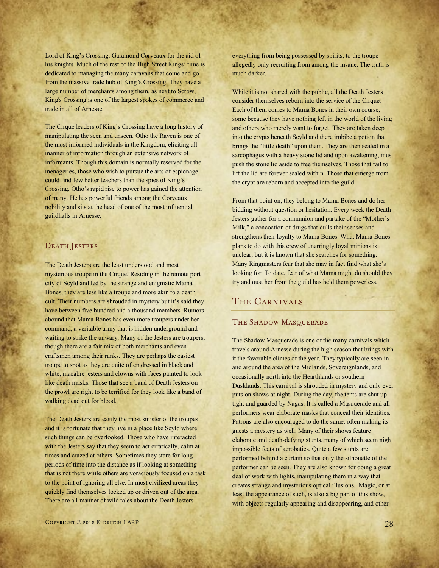Lord of King's Crossing, Garamond Corveaux for the aid of his knights. Much of the rest of the High Street Kings' time is dedicated to managing the many caravans that come and go from the massive trade hub of King's Crossing. They have a large number of merchants among them, as next to Scrow, King's Crossing is one of the largest spokes of commerce and trade in all of Arnesse.

The Cirque leaders of King's Crossing have a long history of manipulating the seen and unseen. Otho the Raven is one of the most informed individuals in the Kingdom, eliciting all manner of information through an extensive network of informants. Though this domain is normally reserved for the menageries, those who wish to pursue the arts of espionage could find few better teachers than the spies of King's Crossing. Otho's rapid rise to power has gained the attention of many. He has powerful friends among the Corveaux nobility and sits at the head of one of the most influential guildhalls in Arnesse.

#### DEATH JESTERS

The Death Jesters are the least understood and most mysterious troupe in the Cirque. Residing in the remote port city of Scyld and led by the strange and enigmatic Mama Bones, they are less like a troupe and more akin to a death cult. Their numbers are shrouded in mystery but it's said they have between five hundred and a thousand members. Rumors abound that Mama Bones has even more troupers under her command, a veritable army that is hidden underground and waiting to strike the unwary. Many of the Jesters are troupers, though there are a fair mix of both merchants and even craftsmen among their ranks. They are perhaps the easiest troupe to spot as they are quite often dressed in black and white, macabre jesters and clowns with faces painted to look like death masks. Those that see a band of Death Jesters on the prowl are right to be terrified for they look like a band of walking dead out for blood.

The Death Jesters are easily the most sinister of the troupes and it is fortunate that they live in a place like Scyld where such things can be overlooked. Those who have interacted with the Jesters say that they seem to act erratically, calm at times and crazed at others. Sometimes they stare for long periods of time into the distance as if looking at something that is not there while others are voraciously focused on a task to the point of ignoring all else. In most civilized areas they quickly find themselves locked up or driven out of the area. There are all manner of wild tales about the Death Jesters -

everything from being possessed by spirits, to the troupe allegedly only recruiting from among the insane. The truth is much darker.

While it is not shared with the public, all the Death Jesters consider themselves reborn into the service of the Cirque. Each of them comes to Mama Bones in their own course, some because they have nothing left in the world of the living and others who merely want to forget. They are taken deep into the crypts beneath Scyld and there imbibe a potion that brings the "little death" upon them. They are then sealed in a sarcophagus with a heavy stone lid and upon awakening, must push the stone lid aside to free themselves. Those that fail to lift the lid are forever sealed within. Those that emerge from the crypt are reborn and accepted into the guild.

From that point on, they belong to Mama Bones and do her bidding without question or hesitation. Every week the Death Jesters gather for a communion and partake of the "Mother's Milk," a concoction of drugs that dulls their senses and strengthens their loyalty to Mama Bones. What Mama Bones plans to do with this crew of unerringly loyal minions is unclear, but it is known that she searches for something. Many Ringmasters fear that she may in fact find what she's looking for. To date, fear of what Mama might do should they try and oust her from the guild has held them powerless.

#### The Carnivals

#### THE SHADOW MASQUERADE

The Shadow Masquerade is one of the many carnivals which travels around Arnesse during the high season that brings with it the favorable climes of the year. They typically are seen in and around the area of the Midlands, Sovereignlands, and occasionally north into the Hearthlands or southern Dusklands. This carnival is shrouded in mystery and only ever puts on shows at night. During the day, the tents are shut up tight and guarded by Nagas. It is called a Masquerade and all performers wear elaborate masks that conceal their identities. Patrons are also encouraged to do the same, often making its guests a mystery as well. Many of their shows feature elaborate and death-defying stunts, many of which seem nigh impossible feats of acrobatics. Quite a few stunts are performed behind a curtain so that only the silhouette of the performer can be seen. They are also known for doing a great deal of work with lights, manipulating them in a way that creates strange and mysterious optical illusions. Magic, or at least the appearance of such, is also a big part of this show, with objects regularly appearing and disappearing, and other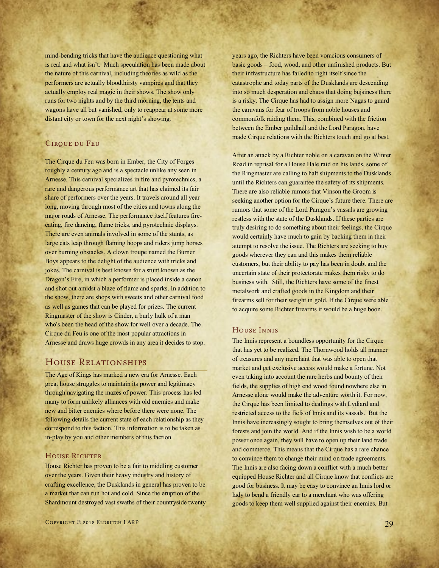mind-bending tricks that have the audience questioning what is real and what isn't. Much speculation has been made about the nature of this carnival, including theories as wild as the performers are actually bloodthirsty vampires and that they actually employ real magic in their shows. The show only runs for two nights and by the third morning, the tents and wagons have all but vanished, only to reappear at some more distant city or town for the next night's showing.

#### CIRQUE DU FEU

The Cirque du Feu was born in Ember, the City of Forges roughly a century ago and is a spectacle unlike any seen in Arnesse. This carnival specializes in fire and pyrotechnics, a rare and dangerous performance art that has claimed its fair share of performers over the years. It travels around all year long, moving through most of the cities and towns along the major roads of Arnesse. The performance itself features fireeating, fire dancing, flame tricks, and pyrotechnic displays. There are even animals involved in some of the stunts, as large cats leap through flaming hoops and riders jump horses over burning obstacles. A clown troupe named the Burner Boys appears to the delight of the audience with tricks and jokes. The carnival is best known for a stunt known as the Dragon's Fire, in which a performer is placed inside a canon and shot out amidst a blaze of flame and sparks. In addition to the show, there are shops with sweets and other carnival food as well as games that can be played for prizes. The current Ringmaster of the show is Cinder, a burly hulk of a man who's been the head of the show for well over a decade. The Cirque du Feu is one of the most popular attractions in Arnesse and draws huge crowds in any area it decides to stop.

#### House Relationships

The Age of Kings has marked a new era for Arnesse. Each great house struggles to maintain its power and legitimacy through navigating the mazes of power. This process has led many to form unlikely alliances with old enemies and make new and bitter enemies where before there were none. The following details the current state of each relationship as they correspond to this faction. This information is to be taken as in-play by you and other members of this faction.

#### HOUSE RICHTER

House Richter has proven to be a fair to middling customer over the years. Given their heavy industry and history of crafting excellence, the Dusklands in general has proven to be a market that can run hot and cold. Since the eruption of the Shardmount destroyed vast swaths of their countryside twenty years ago, the Richters have been voracious consumers of basic goods – food, wood, and other unfinished products. But their infrastructure has failed to right itself since the catastrophe and today parts of the Dusklands are descending into so much desperation and chaos that doing bujsiness there is a risky. The Cirque has had to assign more Nagas to guard the caravans for fear of troops from noble houses and commonfolk raiding them. This, combined with the friction between the Ember guildhall and the Lord Paragon, have made Cirque relations with the Richters touch and go at best.

After an attack by a Richter noble on a caravan on the Winter Road in reprisal for a House Hale raid on his lands, some of the Ringmaster are calling to halt shipments to the Dusklands until the Richters can guarantee the safety of its shipments. There are also reliable rumors that Vinson the Groom is seeking another option for the Cirque's future there. There are rumors that some of the Lord Paragon's vassals are growing restless with the state of the Dusklands. If these parties are truly desiring to do something about their feelings, the Cirque would certainly have much to gain by backing them in their attempt to resolve the issue. The Richters are seeking to buy goods wherever they can and this makes them reliable customers, but their ability to pay has been in doubt and the uncertain state of their protectorate makes them risky to do business with. Still, the Richters have some of the finest metalwork and crafted goods in the Kingdom and their firearms sell for their weight in gold. If the Cirque were able to acquire some Richter firearms it would be a huge boon.

#### House Innis

The Innis represent a boundless opportunity for the Cirque that has yet to be realized. The Thornwood holds all manner of treasures and any merchant that was able to open that market and get exclusive access would make a fortune. Not even taking into account the rare herbs and bounty of their fields, the supplies of high end wood found nowhere else in Arnesse alone would make the adventure worth it. For now, the Cirque has been limited to dealings with Lydiard and restricted access to the fiefs of Innis and its vassals. But the Innis have increasingly sought to bring themselves out of their forests and join the world. And if the Innis wish to be a world power once again, they will have to open up their land trade and commerce. This means that the Cirque has a rare chance to convince them to change their mind on trade agreements. The Innis are also facing down a conflict with a much better equipped House Richter and all Cirque know that conflicts are good for business. It may be easy to convince an Innis lord or lady to bend a friendly ear to a merchant who was offering goods to keep them well supplied against their enemies. But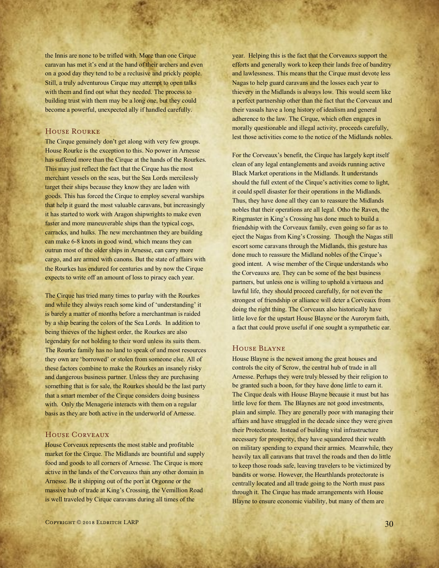the Innis are none to be trifled with. More than one Cirque caravan has met it's end at the hand of their archers and even on a good day they tend to be a reclusive and prickly people. Still, a truly adventurous Cirque may attempt to open talks with them and find out what they needed. The process to building trust with them may be a long one, but they could become a powerful, unexpected ally if handled carefully.

#### House Rourke

The Cirque genuinely don't get along with very few groups. House Rourke is the exception to this. No power in Arnesse has suffered more than the Cirque at the hands of the Rourkes. This may just reflect the fact that the Cirque has the most merchant vessels on the seas, but the Sea Lords mercilessly target their ships because they know they are laden with goods. This has forced the Cirque to employ several warships that help it guard the most valuable caravans, but increasingly it has started to work with Aragon shipwrights to make even faster and more maneuverable ships than the typical cogs, carracks, and hulks. The new merchantmen they are building can make 6-8 knots in good wind, which means they can outrun most of the older ships in Arnesse, can carry more cargo, and are armed with canons. But the state of affairs with the Rourkes has endured for centuries and by now the Cirque expects to write off an amount of loss to piracy each year.

The Cirque has tried many times to parlay with the Rourkes and while they always reach some kind of 'understanding' it is barely a matter of months before a merchantman is raided by a ship bearing the colors of the Sea Lords. In addition to being thieves of the highest order, the Rourkes are also legendary for not holding to their word unless its suits them. The Rourke family has no land to speak of and most resources they own are 'borrowed' or stolen from someone else. All of these factors combine to make the Rourkes an insanely risky and dangerous business partner. Unless they are purchasing something that is for sale, the Rourkes should be the last party that a smart member of the Cirque considers doing business with. Only the Menagerie interacts with them on a regular basis as they are both active in the underworld of Arnesse.

#### House Corveaux

House Corveaux represents the most stable and profitable market for the Cirque. The Midlands are bountiful and supply food and goods to all corners of Arnesse. The Cirque is more active in the lands of the Corveauxs than any other domain in Arnesse. Be it shipping out of the port at Orgonne or the massive hub of trade at King's Crossing, the Vemillion Road is well traveled by Cirque caravans during all times of the

year. Helping this is the fact that the Corveauxs support the efforts and generally work to keep their lands free of banditry and lawlessness. This means that the Cirque must devote less Nagas to help guard caravans and the losses each year to thievery in the Midlands is always low. This would seem like a perfect partnership other than the fact that the Corveaux and their vassals have a long history of idealism and general adherence to the law. The Cirque, which often engages in morally questionable and illegal activity, proceeds carefully, lest those activities come to the notice of the Midlands nobles.

For the Corveaux's benefit, the Cirque has largely kept itself clean of any legal entanglements and avoids running active Black Market operations in the Midlands. It understands should the full extent of the Cirque's activities come to light, it could spell disaster for their operations in the Midlands. Thus, they have done all they can to reassure the Midlands nobles that their operations are all legal. Otho the Raven, the Ringmaster in King's Crossing has done much to build a friendship with the Corveaux family, even going so far as to eject the Nagas from King's Crossing. Though the Nagas still escort some caravans through the Midlands, this gesture has done much to reassure the Midland nobles of the Cirque's good intent. A wise member of the Cirque understands who the Corveauxs are. They can be some of the best business partners, but unless one is willing to uphold a virtuous and lawful life, they should proceed carefully, for not even the strongest of friendship or alliance will deter a Corveaux from doing the right thing. The Corveaux also historically have little love for the upstart House Blayne or the Aurorym faith, a fact that could prove useful if one sought a sympathetic ear.

#### House Blayne

House Blayne is the newest among the great houses and controls the city of Scrow, the central hub of trade in all Arnesse. Perhaps they were truly blessed by their religion to be granted such a boon, for they have done little to earn it. The Cirque deals with House Blayne because it must but has little love for them. The Blaynes are not good investments, plain and simple. They are generally poor with managing their affairs and have struggled in the decade since they were given their Protectorate. Instead of building vital infrastructure necessary for prosperity, they have squandered their wealth on military spending to expand their armies. Meanwhile, they heavily tax all caravans that travel the roads and then do little to keep those roads safe, leaving travelers to be victimized by bandits or worse. However, the Hearthlands protectorate is centrally located and all trade going to the North must pass through it. The Cirque has made arrangements with House Blayne to ensure economic viability, but many of them are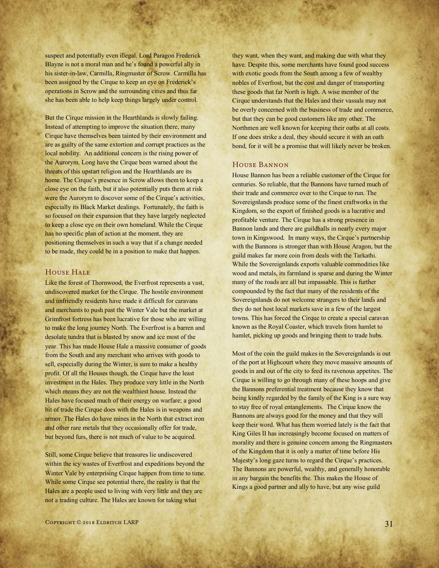suspect and potentially even illegal. Lord Paragon Frederick Blayne is not a moral man and he's found a powerful ally in his sister-in-law, Carmilla, Ringmaster of Scrow. Carmilla has been assigned by the Cirque to keep an eye on Frederick's operations in Scrow and the surrounding cities and thus far she has been able to help keep things largely under control.

But the Cirque mission in the Hearthlands is slowly failing. Instead of attempting to improve the situation there, many Cirque have themselves been tainted by their environment and are as guilty of the same extortion and corrupt practices as the local nobility. An additional concern is the rising power of the Aurorym. Long have the Cirque been warned about the threats of this upstart religion and the Hearthlands are its home. The Cirque's presence in Scrow allows them to keep a close eye on the faith, but it also potentially puts them at risk were the Aurorym to discover some of the Cirque's activities, especially its Black Market dealings. Fortunately, the faith is so focused on their expansion that they have largely neglected to keep a close eye on their own homeland. While the Cirque has no specific plan of action at the moment, they are positioning themselves in such a way that if a change needed to be made, they could be in a position to make that happen.

#### HOUSE HALE

Like the forest of Thornwood, the Everfrost represents a vast, undiscovered market for the Cirque. The hostile environment and unfriendly residents have made it difficult for caravans and merchants to push past the Winter Vale but the market at Grimfrost fortress has been lucrative for those who are willing to make the long journey North. The Everfrost is a barren and desolate tundra that is blasted by snow and ice most of the year. This has made House Hale a massive consumer of goods from the South and any merchant who arrives with goods to sell, especially during the Winter, is sure to make a healthy profit. Of all the Houses though, the Cirque have the least investment in the Hales. They produce very little in the North which means they are not the wealthiest house. Instead the Hales have focused much of their energy on warfare; a good bit of trade the Cirque does with the Hales is in weapons and armor. The Hales do have mines in the North that extract iron and other rare metals that they occasionally offer for trade, but beyond furs, there is not much of value to be acquired.

Still, some Cirque believe that treasures lie undiscovered within the icy wastes of Everfrost and expeditions beyond the Winter Vale by enterprising Cirque happen from time to time. While some Cirque see potential there, the reality is that the Hales are a people used to living with very little and they are not a trading culture. The Hales are known for taking what

they want, when they want, and making due with what they have. Despite this, some merchants have found good success with exotic goods from the South among a few of wealthy nobles of Everfrost, but the cost and danger of transporting these goods that far North is high. A wise member of the Cirque understands that the Hales and their vassals may not be overly concerned with the business of trade and commerce, but that they can be good customers like any other. The Northmen are well known for keeping their oaths at all costs. If one does strike a deal, they should secure it with an oath bond, for it will be a promise that will likely never be broken.

#### House Bannon

House Bannon has been a reliable customer of the Cirque for centuries. So reliable, that the Bannons have turned much of their trade and commerce over to the Cirque to run. The Sovereignlands produce some of the finest craftworks in the Kingdom, so the export of finished goods is a lucrative and profitable venture. The Cirque has a strong presence in Bannon lands and there are guildhalls in nearly every major town in Kingswood. In many ways, the Cirque's partnership with the Bannons is stronger than with House Aragon, but the guild makes far more coin from deals with the Tarkathi. While the Sovereignlands exports valuable commodities like wood and metals, its farmland is sparse and during the Winter many of the roads are all but impassable. This is further compounded by the fact that many of the residents of the Sovereignlands do not welcome strangers to their lands and they do not host local markets save in a few of the largest towns. This has forced the Cirque to create a special caravan known as the Royal Coaster, which travels from hamlet to hamlet, picking up goods and bringing them to trade hubs.

Most of the coin the guild makes in the Sovereignlands is out of the port at Highcourt where they move massive amounts of goods in and out of the city to feed its ravenous appetites. The Cirque is willing to go through many of these hoops and give the Bannons preferential treatment because they know that being kindly regarded by the family of the King is a sure way to stay free of royal entanglements. The Cirque know the Bannons are always good for the money and that they will keep their word. What has them worried lately is the fact that King Giles II has increasingly become focused on matters of morality and there is genuine concern among the Ringmasters of the Kingdom that it is only a matter of time before His Majesty's long gaze turns to regard the Cirque's practices. The Bannons are powerful, wealthy, and generally honorable in any bargain the benefits the. This makes the House of Kings a good partner and ally to have, but any wise guild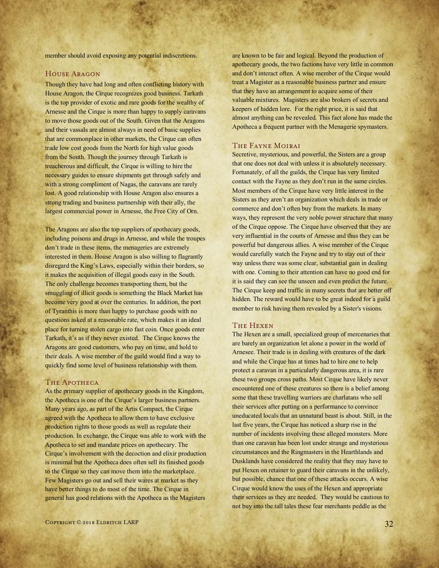member should avoid exposing any potential indiscretions.

#### House Aragon

Though they have had long and often conflicting history with House Aragon, the Cirque recognizes good business. Tarkath is the top provider of exotic and rare goods for the wealthy of Arnesse and the Cirque is more than happy to supply caravans to move those goods out of the South. Given that the Aragons and their vassals are almost always in need of basic supplies that are commonplace in other markets, the Cirque can often trade low cost goods from the North for high value goods from the South. Though the journey through Tarkath is treacherous and difficult, the Cirque is willing to hire the necessary guides to ensure shipments get through safely and with a strong compliment of Nagas, the caravans are rarely lost. A good relationship with House Aragon also ensures a strong trading and business partnership with their ally, the largest commercial power in Arnesse, the Free City of Orn.

The Aragons are also the top suppliers of apothecary goods, including poisons and drugs in Arnesse, and while the troupes don't trade in these items, the menageries are extremely interested in them. House Aragon is also willing to flagrantly disregard the King's Laws, especially within their borders, so it makes the acquisition of illegal goods easy in the South. The only challenge becomes transporting them, but the smuggling of illicit goods is something the Black Market has become very good at over the centuries. In addition, the port of Tyranthis is more than happy to purchase goods with no questions asked at a reasonable rate, which makes it an ideal place for turning stolen cargo into fast coin. Once goods enter Tarkath, it's as if they never existed. The Cirque knows the Aragons are good customers, who pay on time, and hold to their deals. A wise member of the guild would find a way to quickly find some level of business relationship with them.

#### THE APOTHECA

As the primary supplier of apothecary goods in the Kingdom, the Apotheca is one of the Cirque's larger business partners. Many years ago, as part of the Artis Compact, the Cirque agreed with the Apotheca to allow them to have exclusive production rights to those goods as well as regulate their production. In exchange, the Cirque was able to work with the Apotheca to set and mandate prices on apothecary. The Cirque's involvement with the decoction and elixir production is minimal but the Apotheca does often sell its finished goods to the Cirque so they can move them into the marketplace. Few Magisters go out and sell their wares at market as they have better things to do most of the time. The Cirque in general has good relations with the Apotheca as the Magisters

are known to be fair and logical. Beyond the production of apothecary goods, the two factions have very little in common and don't interact often. A wise member of the Cirque would treat a Magister as a reasonable business partner and ensure that they have an arrangement to acquire some of their valuable mixtures. Magisters are also brokers of secrets and keepers of hidden lore. For the right price, it is said that almost anything can be revealed. This fact alone has made the Apotheca a frequent partner with the Menagerie spymasters.

#### The Fayne Moirai

Secretive, mysterious, and powerful, the Sisters are a group that one does not deal with unless it is absolutely necessary. Fortunately, of all the guilds, the Cirque has very limited contact with the Fayne as they don't run in the same circles. Most members of the Cirque have very little interest in the Sisters as they aren't an organization which deals in trade or commerce and don't often buy from the markets. In many ways, they represent the very noble power structure that many of the Cirque oppose. The Cirque have observed that they are very influential in the courts of Arnesse and thus they can be powerful but dangerous allies. A wise member of the Cirque would carefully watch the Fayne and try to stay out of their way unless there was some clear, substantial gain in dealing with one. Coming to their attention can have no good end for it is said they can see the unseen and even predict the future. The Cirque keep and traffic in many secrets that are better off hidden. The reward would have to be great indeed for a guild member to risk having them revealed by a Sister's visions.

#### The Hexen

The Hexen are a small, specialized group of mercenaries that are barely an organization let alone a power in the world of Arnesee. Their trade is in dealing with creatures of the dark and while the Cirque has at times had to hire one to help protect a caravan in a particularly dangerous area, it is rare these two groups cross paths. Most Cirque have likely never encountered one of these creatures so there is a belief among some that these travelling warriors are charlatans who sell their services after putting on a performance to convince uneducated locals that an unnatural beast is about. Still, in the last five years, the Cirque has noticed a sharp rise in the number of incidents involving these alleged monsters. More than one caravan has been lost under strange and mysterious circumstances and the Ringmasters in the Hearthlands and Dusklands have considered the reality that they may have to put Hexen on retainer to guard their caravans in the unlikely, but possible, chance that one of these attacks occurs. A wise Cirque would know the uses of the Hexen and appropriate their services as they are needed. They would be cautious to not buy into the tall tales these fear merchants peddle as the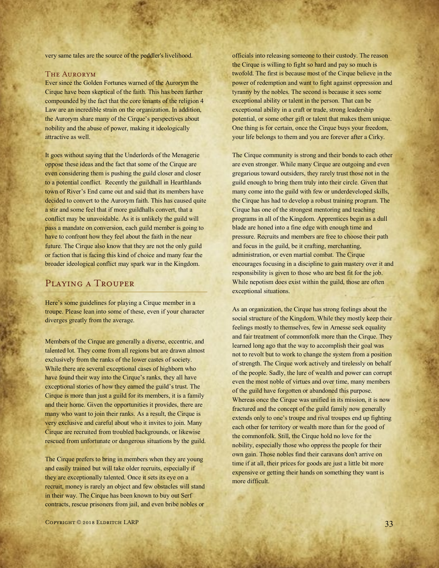very same tales are the source of the peddler's livelihood.

#### The Aurorym

Ever since the Golden Fortunes warned of the Aurorym the Cirque have been skeptical of the faith. This has been further compounded by the fact that the core tenants of the religion 4 Law are an incredible strain on the organization. In addition, the Aurorym share many of the Cirque's perspectives about nobility and the abuse of power, making it ideologically attractive as well.

It goes without saying that the Underlords of the Menagerie oppose these ideas and the fact that some of the Cirque are even considering them is pushing the guild closer and closer to a potential conflict. Recently the guildhall in Hearthlands town of River's End came out and said that its members have decided to convert to the Aurorym faith. This has caused quite a stir and some feel that if more guildhalls convert, that a conflict may be unavoidable. As it is unlikely the guild will pass a mandate on conversion, each guild member is going to have to confront how they feel about the faith in the near future. The Cirque also know that they are not the only guild or faction that is facing this kind of choice and many fear the broader ideological conflict may spark war in the Kingdom.

#### Playing a Trouper

Here's some guidelines for playing a Cirque member in a troupe. Please lean into some of these, even if your character diverges greatly from the average.

Members of the Cirque are generally a diverse, eccentric, and talented lot. They come from all regions but are drawn almost exclusively from the ranks of the lower castes of society. While there are several exceptional cases of highborn who have found their way into the Cirque's ranks, they all have exceptional stories of how they earned the guild's trust. The Cirque is more than just a guild for its members, it is a family and their home. Given the opportunities it provides, there are many who want to join their ranks. As a result, the Cirque is very exclusive and careful about who it invites to join. Many Cirque are recruited from troubled backgrounds, or likewise rescued from unfortunate or dangerous situations by the guild.

The Cirque prefers to bring in members when they are young and easily trained but will take older recruits, especially if they are exceptionally talented. Once it sets its eye on a recruit, money is rarely an object and few obstacles will stand in their way. The Cirque has been known to buy out Serf contracts, rescue prisoners from jail, and even bribe nobles or

officials into releasing someone to their custody. The reason the Cirque is willing to fight so hard and pay so much is twofold. The first is because most of the Cirque believe in the power of redemption and want to fight against oppression and tyranny by the nobles. The second is because it sees some exceptional ability or talent in the person. That can be exceptional ability in a craft or trade, strong leadership potential, or some other gift or talent that makes them unique. One thing is for certain, once the Cirque buys your freedom, your life belongs to them and you are forever after a Cirky.

The Cirque community is strong and their bonds to each other are even stronger. While many Cirque are outgoing and even gregarious toward outsiders, they rarely trust those not in the guild enough to bring them truly into their circle. Given that many come into the guild with few or underdeveloped skills, the Cirque has had to develop a robust training program. The Cirque has one of the strongest mentoring and teaching programs in all of the Kingdom. Apprentices begin as a dull blade are honed into a fine edge with enough time and pressure. Recruits and members are free to choose their path and focus in the guild, be it crafting, merchanting, administration, or even martial combat. The Cirque encourages focusing in a discipline to gain mastery over it and responsibility is given to those who are best fit for the job. While nepotism does exist within the guild, those are often exceptional situations.

As an organization, the Cirque has strong feelings about the social structure of the Kingdom. While they mostly keep their feelings mostly to themselves, few in Arnesse seek equality and fair treatment of commonfolk more than the Cirque. They learned long ago that the way to accomplish their goal was not to revolt but to work to change the system from a position of strength. The Cirque work actively and tirelessly on behalf of the people. Sadly, the lure of wealth and power can corrupt even the most noble of virtues and over time, many members of the guild have forgotten or abandoned this purpose. Whereas once the Cirque was unified in its mission, it is now fractured and the concept of the guild family now generally extends only to one's troupe and rival troupes end up fighting each other for territory or wealth more than for the good of the commonfolk. Still, the Cirque hold no love for the nobility, especially those who oppress the people for their own gain. Those nobles find their caravans don't arrive on time if at all, their prices for goods are just a little bit more expensive or getting their hands on something they want is more difficult.